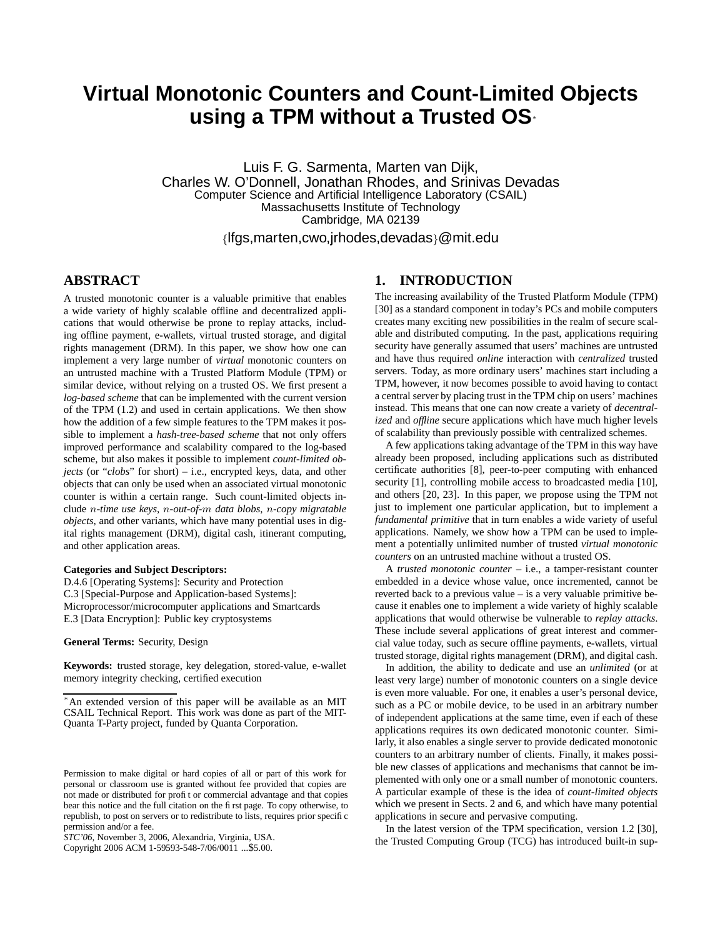# **Virtual Monotonic Counters and Count-Limited Objects using a TPM without a Trusted OS**<sup>∗</sup>

Luis F. G. Sarmenta, Marten van Dijk, Charles W. O'Donnell, Jonathan Rhodes, and Srinivas Devadas Computer Science and Artificial Intelligence Laboratory (CSAIL) Massachusetts Institute of Technology Cambridge, MA 02139

{lfgs,marten,cwo,jrhodes,devadas}@mit.edu

### **ABSTRACT**

A trusted monotonic counter is a valuable primitive that enables a wide variety of highly scalable offline and decentralized applications that would otherwise be prone to replay attacks, including offline payment, e-wallets, virtual trusted storage, and digital rights management (DRM). In this paper, we show how one can implement a very large number of *virtual* monotonic counters on an untrusted machine with a Trusted Platform Module (TPM) or similar device, without relying on a trusted OS. We first present a *log-based scheme* that can be implemented with the current version of the TPM (1.2) and used in certain applications. We then show how the addition of a few simple features to the TPM makes it possible to implement a *hash-tree-based scheme* that not only offers improved performance and scalability compared to the log-based scheme, but also makes it possible to implement *count-limited objects* (or "*clobs*" for short) – i.e., encrypted keys, data, and other objects that can only be used when an associated virtual monotonic counter is within a certain range. Such count-limited objects include n*-time use keys*, n*-out-of-*m *data blobs*, n*-copy migratable objects*, and other variants, which have many potential uses in digital rights management (DRM), digital cash, itinerant computing, and other application areas.

### **Categories and Subject Descriptors:**

D.4.6 [Operating Systems]: Security and Protection C.3 [Special-Purpose and Application-based Systems]: Microprocessor/microcomputer applications and Smartcards E.3 [Data Encryption]: Public key cryptosystems

**General Terms:** Security, Design

**Keywords:** trusted storage, key delegation, stored-value, e-wallet memory integrity checking, certified execution

Copyright 2006 ACM 1-59593-548-7/06/0011 ...\$5.00.

# **1. INTRODUCTION**

The increasing availability of the Trusted Platform Module (TPM) [30] as a standard component in today's PCs and mobile computers creates many exciting new possibilities in the realm of secure scalable and distributed computing. In the past, applications requiring security have generally assumed that users' machines are untrusted and have thus required *online* interaction with *centralized* trusted servers. Today, as more ordinary users' machines start including a TPM, however, it now becomes possible to avoid having to contact a central server by placing trust in the TPM chip on users' machines instead. This means that one can now create a variety of *decentralized* and *offline* secure applications which have much higher levels of scalability than previously possible with centralized schemes.

A few applications taking advantage of the TPM in this way have already been proposed, including applications such as distributed certificate authorities [8], peer-to-peer computing with enhanced security [1], controlling mobile access to broadcasted media [10], and others [20, 23]. In this paper, we propose using the TPM not just to implement one particular application, but to implement a *fundamental primitive* that in turn enables a wide variety of useful applications. Namely, we show how a TPM can be used to implement a potentially unlimited number of trusted *virtual monotonic counters* on an untrusted machine without a trusted OS.

A *trusted monotonic counter* – i.e., a tamper-resistant counter embedded in a device whose value, once incremented, cannot be reverted back to a previous value – is a very valuable primitive because it enables one to implement a wide variety of highly scalable applications that would otherwise be vulnerable to *replay attacks*. These include several applications of great interest and commercial value today, such as secure offline payments, e-wallets, virtual trusted storage, digital rights management (DRM), and digital cash.

In addition, the ability to dedicate and use an *unlimited* (or at least very large) number of monotonic counters on a single device is even more valuable. For one, it enables a user's personal device, such as a PC or mobile device, to be used in an arbitrary number of independent applications at the same time, even if each of these applications requires its own dedicated monotonic counter. Similarly, it also enables a single server to provide dedicated monotonic counters to an arbitrary number of clients. Finally, it makes possible new classes of applications and mechanisms that cannot be implemented with only one or a small number of monotonic counters. A particular example of these is the idea of *count-limited objects* which we present in Sects. 2 and 6, and which have many potential applications in secure and pervasive computing.

In the latest version of the TPM specification, version 1.2 [30], the Trusted Computing Group (TCG) has introduced built-in sup-

<sup>∗</sup>An extended version of this paper will be available as an MIT CSAIL Technical Report. This work was done as part of the MIT-Quanta T-Party project, funded by Quanta Corporation.

Permission to make digital or hard copies of all or part of this work for personal or classroom use is granted without fee provided that copies are not made or distributed for profit or commercial advantage and that copies bear this notice and the full citation on the first page. To copy otherwise, to republish, to post on servers or to redistribute to lists, requires prior specific permission and/or a fee.

*STC'06,* November 3, 2006, Alexandria, Virginia, USA.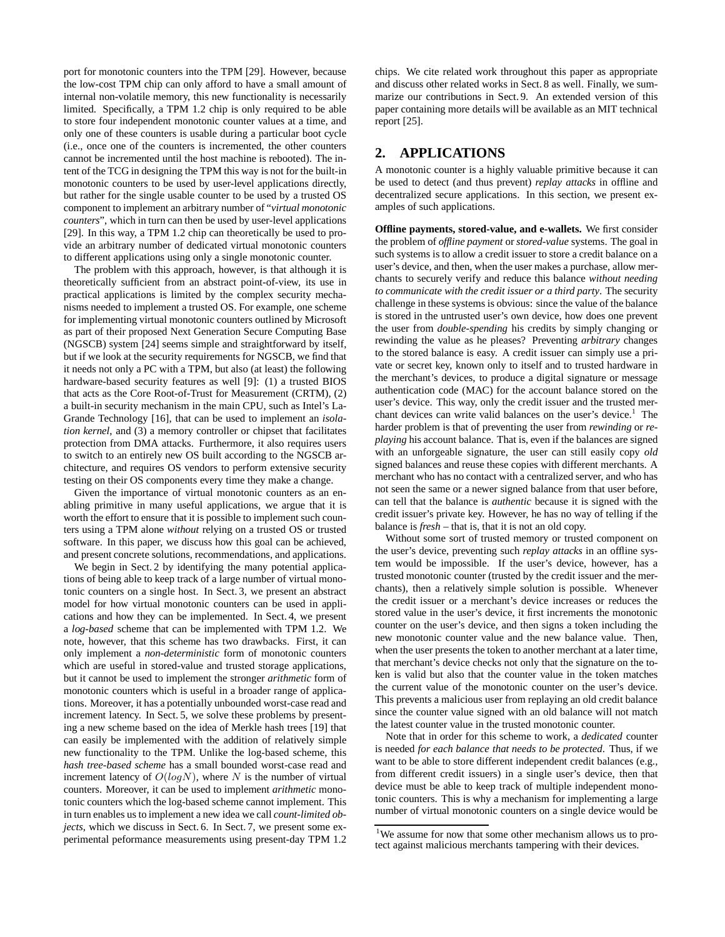port for monotonic counters into the TPM [29]. However, because the low-cost TPM chip can only afford to have a small amount of internal non-volatile memory, this new functionality is necessarily limited. Specifically, a TPM 1.2 chip is only required to be able to store four independent monotonic counter values at a time, and only one of these counters is usable during a particular boot cycle (i.e., once one of the counters is incremented, the other counters cannot be incremented until the host machine is rebooted). The intent of the TCG in designing the TPM this way is not for the built-in monotonic counters to be used by user-level applications directly, but rather for the single usable counter to be used by a trusted OS component to implement an arbitrary number of "*virtual monotonic counters*", which in turn can then be used by user-level applications [29]. In this way, a TPM 1.2 chip can theoretically be used to provide an arbitrary number of dedicated virtual monotonic counters to different applications using only a single monotonic counter.

The problem with this approach, however, is that although it is theoretically sufficient from an abstract point-of-view, its use in practical applications is limited by the complex security mechanisms needed to implement a trusted OS. For example, one scheme for implementing virtual monotonic counters outlined by Microsoft as part of their proposed Next Generation Secure Computing Base (NGSCB) system [24] seems simple and straightforward by itself, but if we look at the security requirements for NGSCB, we find that it needs not only a PC with a TPM, but also (at least) the following hardware-based security features as well [9]: (1) a trusted BIOS that acts as the Core Root-of-Trust for Measurement (CRTM), (2) a built-in security mechanism in the main CPU, such as Intel's La-Grande Technology [16], that can be used to implement an *isolation kernel*, and (3) a memory controller or chipset that facilitates protection from DMA attacks. Furthermore, it also requires users to switch to an entirely new OS built according to the NGSCB architecture, and requires OS vendors to perform extensive security testing on their OS components every time they make a change.

Given the importance of virtual monotonic counters as an enabling primitive in many useful applications, we argue that it is worth the effort to ensure that it is possible to implement such counters using a TPM alone *without* relying on a trusted OS or trusted software. In this paper, we discuss how this goal can be achieved, and present concrete solutions, recommendations, and applications.

We begin in Sect. 2 by identifying the many potential applications of being able to keep track of a large number of virtual monotonic counters on a single host. In Sect. 3, we present an abstract model for how virtual monotonic counters can be used in applications and how they can be implemented. In Sect. 4, we present a *log-based* scheme that can be implemented with TPM 1.2. We note, however, that this scheme has two drawbacks. First, it can only implement a *non-deterministic* form of monotonic counters which are useful in stored-value and trusted storage applications, but it cannot be used to implement the stronger *arithmetic* form of monotonic counters which is useful in a broader range of applications. Moreover, it has a potentially unbounded worst-case read and increment latency. In Sect. 5, we solve these problems by presenting a new scheme based on the idea of Merkle hash trees [19] that can easily be implemented with the addition of relatively simple new functionality to the TPM. Unlike the log-based scheme, this *hash tree-based scheme* has a small bounded worst-case read and increment latency of  $O(logN)$ , where N is the number of virtual counters. Moreover, it can be used to implement *arithmetic* monotonic counters which the log-based scheme cannot implement. This in turn enables us to implement a new idea we call *count-limited objects*, which we discuss in Sect. 6. In Sect. 7, we present some experimental peformance measurements using present-day TPM 1.2

chips. We cite related work throughout this paper as appropriate and discuss other related works in Sect. 8 as well. Finally, we summarize our contributions in Sect. 9. An extended version of this paper containing more details will be available as an MIT technical report [25].

### **2. APPLICATIONS**

A monotonic counter is a highly valuable primitive because it can be used to detect (and thus prevent) *replay attacks* in offline and decentralized secure applications. In this section, we present examples of such applications.

**Offline payments, stored-value, and e-wallets.** We first consider the problem of *offline payment* or *stored-value* systems. The goal in such systems is to allow a credit issuer to store a credit balance on a user's device, and then, when the user makes a purchase, allow merchants to securely verify and reduce this balance *without needing to communicate with the credit issuer or a third party*. The security challenge in these systems is obvious: since the value of the balance is stored in the untrusted user's own device, how does one prevent the user from *double-spending* his credits by simply changing or rewinding the value as he pleases? Preventing *arbitrary* changes to the stored balance is easy. A credit issuer can simply use a private or secret key, known only to itself and to trusted hardware in the merchant's devices, to produce a digital signature or message authentication code (MAC) for the account balance stored on the user's device. This way, only the credit issuer and the trusted merchant devices can write valid balances on the user's device.<sup>1</sup> The harder problem is that of preventing the user from *rewinding* or *replaying* his account balance. That is, even if the balances are signed with an unforgeable signature, the user can still easily copy *old* signed balances and reuse these copies with different merchants. A merchant who has no contact with a centralized server, and who has not seen the same or a newer signed balance from that user before, can tell that the balance is *authentic* because it is signed with the credit issuer's private key. However, he has no way of telling if the balance is *fresh* – that is, that it is not an old copy.

Without some sort of trusted memory or trusted component on the user's device, preventing such *replay attacks* in an offline system would be impossible. If the user's device, however, has a trusted monotonic counter (trusted by the credit issuer and the merchants), then a relatively simple solution is possible. Whenever the credit issuer or a merchant's device increases or reduces the stored value in the user's device, it first increments the monotonic counter on the user's device, and then signs a token including the new monotonic counter value and the new balance value. Then, when the user presents the token to another merchant at a later time, that merchant's device checks not only that the signature on the token is valid but also that the counter value in the token matches the current value of the monotonic counter on the user's device. This prevents a malicious user from replaying an old credit balance since the counter value signed with an old balance will not match the latest counter value in the trusted monotonic counter.

Note that in order for this scheme to work, a *dedicated* counter is needed *for each balance that needs to be protected*. Thus, if we want to be able to store different independent credit balances (e.g., from different credit issuers) in a single user's device, then that device must be able to keep track of multiple independent monotonic counters. This is why a mechanism for implementing a large number of virtual monotonic counters on a single device would be

<sup>&</sup>lt;sup>1</sup>We assume for now that some other mechanism allows us to protect against malicious merchants tampering with their devices.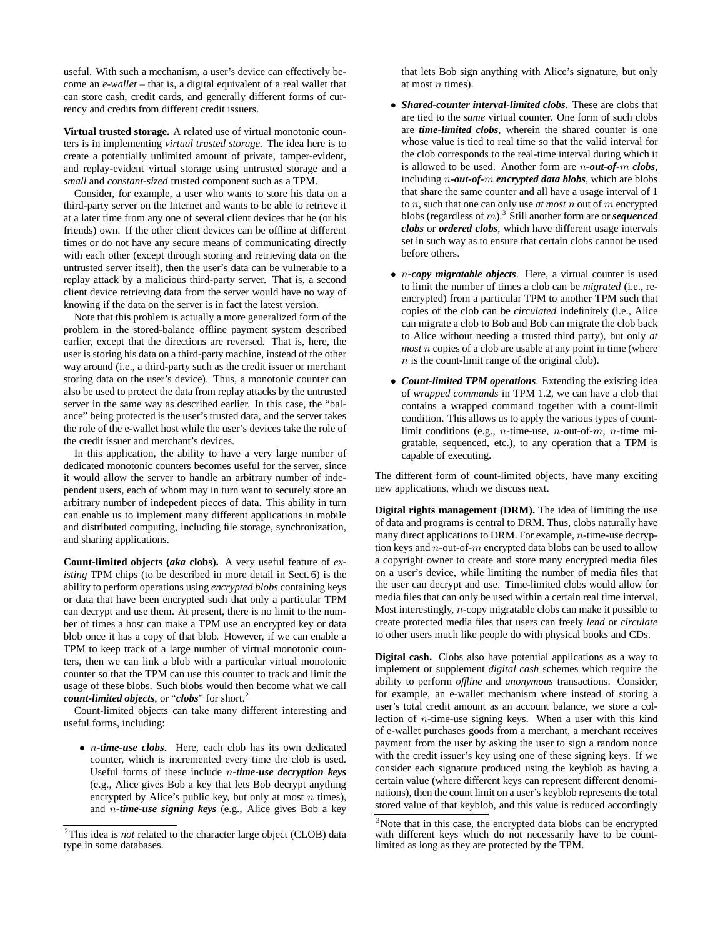useful. With such a mechanism, a user's device can effectively become an *e-wallet* – that is, a digital equivalent of a real wallet that can store cash, credit cards, and generally different forms of currency and credits from different credit issuers.

**Virtual trusted storage.** A related use of virtual monotonic counters is in implementing *virtual trusted storage*. The idea here is to create a potentially unlimited amount of private, tamper-evident, and replay-evident virtual storage using untrusted storage and a *small* and *constant-sized* trusted component such as a TPM.

Consider, for example, a user who wants to store his data on a third-party server on the Internet and wants to be able to retrieve it at a later time from any one of several client devices that he (or his friends) own. If the other client devices can be offline at different times or do not have any secure means of communicating directly with each other (except through storing and retrieving data on the untrusted server itself), then the user's data can be vulnerable to a replay attack by a malicious third-party server. That is, a second client device retrieving data from the server would have no way of knowing if the data on the server is in fact the latest version.

Note that this problem is actually a more generalized form of the problem in the stored-balance offline payment system described earlier, except that the directions are reversed. That is, here, the user is storing his data on a third-party machine, instead of the other way around (i.e., a third-party such as the credit issuer or merchant storing data on the user's device). Thus, a monotonic counter can also be used to protect the data from replay attacks by the untrusted server in the same way as described earlier. In this case, the "balance" being protected is the user's trusted data, and the server takes the role of the e-wallet host while the user's devices take the role of the credit issuer and merchant's devices.

In this application, the ability to have a very large number of dedicated monotonic counters becomes useful for the server, since it would allow the server to handle an arbitrary number of independent users, each of whom may in turn want to securely store an arbitrary number of indepedent pieces of data. This ability in turn can enable us to implement many different applications in mobile and distributed computing, including file storage, synchronization, and sharing applications.

**Count-limited objects (***aka* **clobs).** A very useful feature of *existing* TPM chips (to be described in more detail in Sect. 6) is the ability to perform operations using *encrypted blobs* containing keys or data that have been encrypted such that only a particular TPM can decrypt and use them. At present, there is no limit to the number of times a host can make a TPM use an encrypted key or data blob once it has a copy of that blob. However, if we can enable a TPM to keep track of a large number of virtual monotonic counters, then we can link a blob with a particular virtual monotonic counter so that the TPM can use this counter to track and limit the usage of these blobs. Such blobs would then become what we call *count-limited objects, or "clobs"* for short.<sup>2</sup>

Count-limited objects can take many different interesting and useful forms, including:

• n*-time-use clobs*. Here, each clob has its own dedicated counter, which is incremented every time the clob is used. Useful forms of these include n*-time-use decryption keys* (e.g., Alice gives Bob a key that lets Bob decrypt anything encrypted by Alice's public key, but only at most  $n$  times), and n*-time-use signing keys* (e.g., Alice gives Bob a key

that lets Bob sign anything with Alice's signature, but only at most  $n$  times).

- *Shared-counter interval-limited clobs*. These are clobs that are tied to the *same* virtual counter. One form of such clobs are *time-limited clobs*, wherein the shared counter is one whose value is tied to real time so that the valid interval for the clob corresponds to the real-time interval during which it is allowed to be used. Another form are n*-out-of-*m *clobs*, including n*-out-of-*m *encrypted data blobs*, which are blobs that share the same counter and all have a usage interval of 1 to n, such that one can only use *at most* n out of m encrypted blobs (regardless of m).<sup>3</sup> Still another form are or *sequenced clobs* or *ordered clobs*, which have different usage intervals set in such way as to ensure that certain clobs cannot be used before others.
- n*-copy migratable objects*. Here, a virtual counter is used to limit the number of times a clob can be *migrated* (i.e., reencrypted) from a particular TPM to another TPM such that copies of the clob can be *circulated* indefinitely (i.e., Alice can migrate a clob to Bob and Bob can migrate the clob back to Alice without needing a trusted third party), but only *at most* n copies of a clob are usable at any point in time (where  $n$  is the count-limit range of the original clob).
- *Count-limited TPM operations*. Extending the existing idea of *wrapped commands* in TPM 1.2, we can have a clob that contains a wrapped command together with a count-limit condition. This allows us to apply the various types of countlimit conditions (e.g., *n*-time-use, *n*-out-of- $m$ , *n*-time migratable, sequenced, etc.), to any operation that a TPM is capable of executing.

The different form of count-limited objects, have many exciting new applications, which we discuss next.

**Digital rights management (DRM).** The idea of limiting the use of data and programs is central to DRM. Thus, clobs naturally have many direct applications to DRM. For example, n-time-use decryption keys and  $n$ -out-of- $m$  encrypted data blobs can be used to allow a copyright owner to create and store many encrypted media files on a user's device, while limiting the number of media files that the user can decrypt and use. Time-limited clobs would allow for media files that can only be used within a certain real time interval. Most interestingly, n-copy migratable clobs can make it possible to create protected media files that users can freely *lend* or *circulate* to other users much like people do with physical books and CDs.

**Digital cash.** Clobs also have potential applications as a way to implement or supplement *digital cash* schemes which require the ability to perform *offline* and *anonymous* transactions. Consider, for example, an e-wallet mechanism where instead of storing a user's total credit amount as an account balance, we store a collection of n-time-use signing keys. When a user with this kind of e-wallet purchases goods from a merchant, a merchant receives payment from the user by asking the user to sign a random nonce with the credit issuer's key using one of these signing keys. If we consider each signature produced using the keyblob as having a certain value (where different keys can represent different denominations), then the count limit on a user's keyblob represents the total stored value of that keyblob, and this value is reduced accordingly

<sup>2</sup>This idea is *not* related to the character large object (CLOB) data type in some databases.

<sup>&</sup>lt;sup>3</sup>Note that in this case, the encrypted data blobs can be encrypted with different keys which do not necessarily have to be countlimited as long as they are protected by the TPM.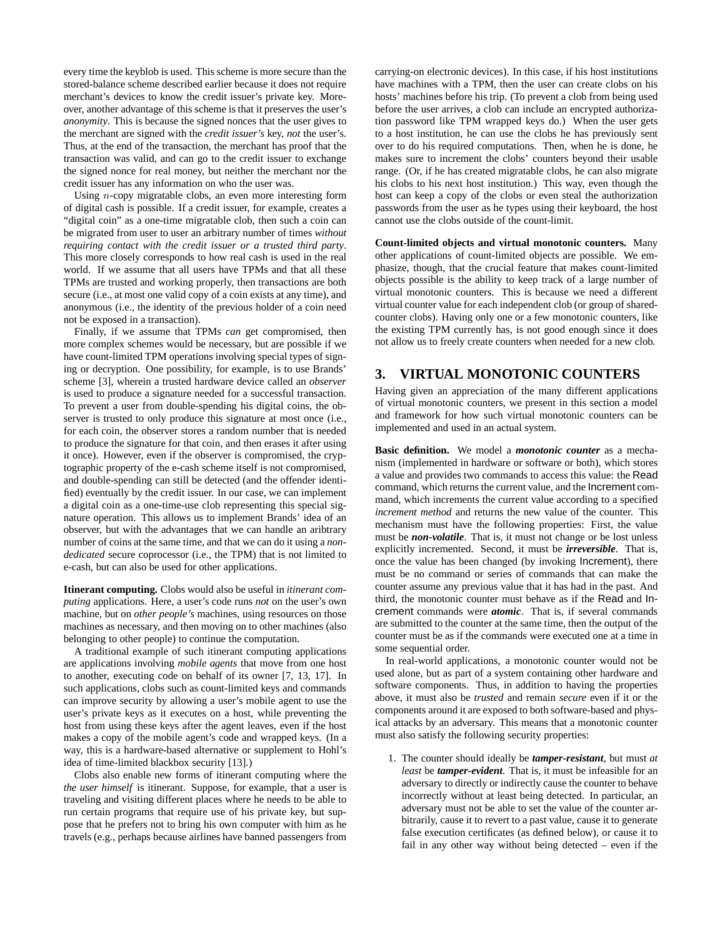every time the keyblob is used. This scheme is more secure than the stored-balance scheme described earlier because it does not require merchant's devices to know the credit issuer's private key. Moreover, another advantage of this scheme is that it preserves the user's *anonymity*. This is because the signed nonces that the user gives to the merchant are signed with the *credit issuer's* key, *not* the user's. Thus, at the end of the transaction, the merchant has proof that the transaction was valid, and can go to the credit issuer to exchange the signed nonce for real money, but neither the merchant nor the credit issuer has any information on who the user was.

Using  $n$ -copy migratable clobs, an even more interesting form of digital cash is possible. If a credit issuer, for example, creates a "digital coin" as a one-time migratable clob, then such a coin can be migrated from user to user an arbitrary number of times *without requiring contact with the credit issuer or a trusted third party*. This more closely corresponds to how real cash is used in the real world. If we assume that all users have TPMs and that all these TPMs are trusted and working properly, then transactions are both secure (i.e., at most one valid copy of a coin exists at any time), and anonymous (i.e., the identity of the previous holder of a coin need not be exposed in a transaction).

Finally, if we assume that TPMs *can* get compromised, then more complex schemes would be necessary, but are possible if we have count-limited TPM operations involving special types of signing or decryption. One possibility, for example, is to use Brands' scheme [3], wherein a trusted hardware device called an *observer* is used to produce a signature needed for a successful transaction. To prevent a user from double-spending his digital coins, the observer is trusted to only produce this signature at most once (i.e., for each coin, the observer stores a random number that is needed to produce the signature for that coin, and then erases it after using it once). However, even if the observer is compromised, the cryptographic property of the e-cash scheme itself is not compromised, and double-spending can still be detected (and the offender identified) eventually by the credit issuer. In our case, we can implement a digital coin as a one-time-use clob representing this special signature operation. This allows us to implement Brands' idea of an observer, but with the advantages that we can handle an aribtrary number of coins at the same time, and that we can do it using a *nondedicated* secure coprocessor (i.e., the TPM) that is not limited to e-cash, but can also be used for other applications.

**Itinerant computing.** Clobs would also be useful in *itinerant computing* applications. Here, a user's code runs *not* on the user's own machine, but on *other people's* machines, using resources on those machines as necessary, and then moving on to other machines (also belonging to other people) to continue the computation.

A traditional example of such itinerant computing applications are applications involving *mobile agents* that move from one host to another, executing code on behalf of its owner [7, 13, 17]. In such applications, clobs such as count-limited keys and commands can improve security by allowing a user's mobile agent to use the user's private keys as it executes on a host, while preventing the host from using these keys after the agent leaves, even if the host makes a copy of the mobile agent's code and wrapped keys. (In a way, this is a hardware-based alternative or supplement to Hohl's idea of time-limited blackbox security [13].)

Clobs also enable new forms of itinerant computing where the *the user himself* is itinerant. Suppose, for example, that a user is traveling and visiting different places where he needs to be able to run certain programs that require use of his private key, but suppose that he prefers not to bring his own computer with him as he travels (e.g., perhaps because airlines have banned passengers from

carrying-on electronic devices). In this case, if his host institutions have machines with a TPM, then the user can create clobs on his hosts' machines before his trip. (To prevent a clob from being used before the user arrives, a clob can include an encrypted authorization password like TPM wrapped keys do.) When the user gets to a host institution, he can use the clobs he has previously sent over to do his required computations. Then, when he is done, he makes sure to increment the clobs' counters beyond their usable range. (Or, if he has created migratable clobs, he can also migrate his clobs to his next host institution.) This way, even though the host can keep a copy of the clobs or even steal the authorization passwords from the user as he types using their keyboard, the host cannot use the clobs outside of the count-limit.

**Count-limited objects and virtual monotonic counters.** Many other applications of count-limited objects are possible. We emphasize, though, that the crucial feature that makes count-limited objects possible is the ability to keep track of a large number of virtual monotonic counters. This is because we need a different virtual counter value for each independent clob (or group of sharedcounter clobs). Having only one or a few monotonic counters, like the existing TPM currently has, is not good enough since it does not allow us to freely create counters when needed for a new clob.

# **3. VIRTUAL MONOTONIC COUNTERS**

Having given an appreciation of the many different applications of virtual monotonic counters, we present in this section a model and framework for how such virtual monotonic counters can be implemented and used in an actual system.

**Basic definition.** We model a *monotonic counter* as a mechanism (implemented in hardware or software or both), which stores a value and provides two commands to access this value: the Read command, which returns the current value, and the Increment command, which increments the current value according to a specified *increment method* and returns the new value of the counter. This mechanism must have the following properties: First, the value must be *non-volatile*. That is, it must not change or be lost unless explicitly incremented. Second, it must be *irreversible*. That is, once the value has been changed (by invoking Increment), there must be no command or series of commands that can make the counter assume any previous value that it has had in the past. And third, the monotonic counter must behave as if the Read and Increment commands were *atomic*. That is, if several commands are submitted to the counter at the same time, then the output of the counter must be as if the commands were executed one at a time in some sequential order.

In real-world applications, a monotonic counter would not be used alone, but as part of a system containing other hardware and software components. Thus, in addition to having the properties above, it must also be *trusted* and remain *secure* even if it or the components around it are exposed to both software-based and physical attacks by an adversary. This means that a monotonic counter must also satisfy the following security properties:

1. The counter should ideally be *tamper-resistant*, but must *at least* be *tamper-evident*. That is, it must be infeasible for an adversary to directly or indirectly cause the counter to behave incorrectly without at least being detected. In particular, an adversary must not be able to set the value of the counter arbitrarily, cause it to revert to a past value, cause it to generate false execution certificates (as defined below), or cause it to fail in any other way without being detected – even if the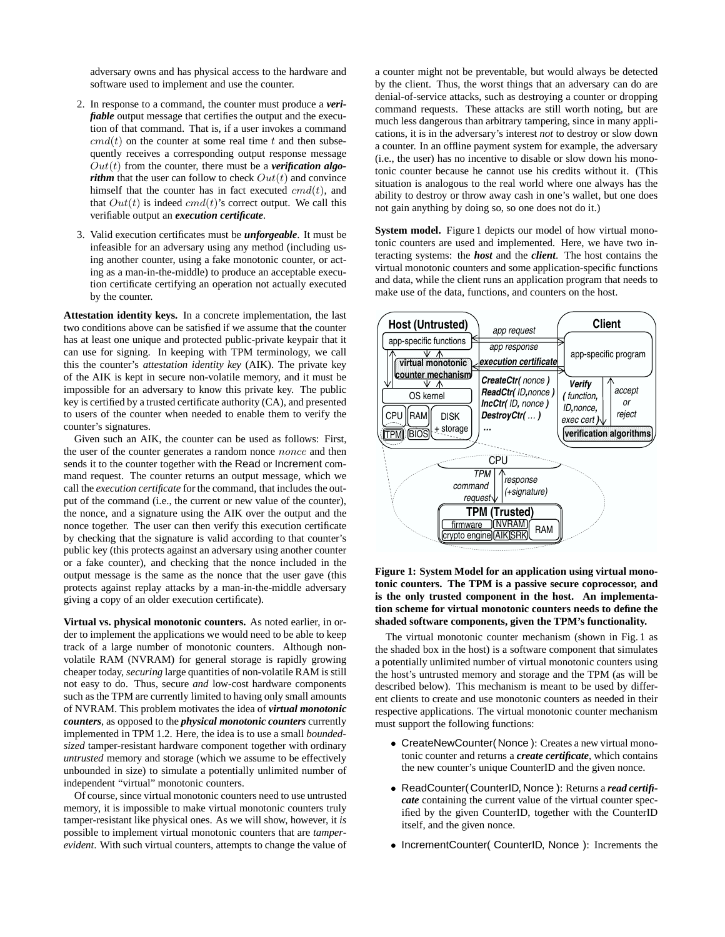adversary owns and has physical access to the hardware and software used to implement and use the counter.

- 2. In response to a command, the counter must produce a *verifiable* output message that certifies the output and the execution of that command. That is, if a user invokes a command  $cmd(t)$  on the counter at some real time t and then subsequently receives a corresponding output response message  $Out(t)$  from the counter, there must be a *verification algorithm* that the user can follow to check  $Out(t)$  and convince himself that the counter has in fact executed  $cmd(t)$ , and that  $Out(t)$  is indeed  $cmd(t)$ 's correct output. We call this verifiable output an *execution certificate*.
- 3. Valid execution certificates must be *unforgeable*. It must be infeasible for an adversary using any method (including using another counter, using a fake monotonic counter, or acting as a man-in-the-middle) to produce an acceptable execution certificate certifying an operation not actually executed by the counter.

**Attestation identity keys.** In a concrete implementation, the last two conditions above can be satisfied if we assume that the counter has at least one unique and protected public-private keypair that it can use for signing. In keeping with TPM terminology, we call this the counter's *attestation identity key* (AIK). The private key of the AIK is kept in secure non-volatile memory, and it must be impossible for an adversary to know this private key. The public key is certified by a trusted certificate authority (CA), and presented to users of the counter when needed to enable them to verify the counter's signatures.

Given such an AIK, the counter can be used as follows: First, the user of the counter generates a random nonce *nonce* and then sends it to the counter together with the Read or Increment command request. The counter returns an output message, which we call the *execution certificate* for the command, that includes the output of the command (i.e., the current or new value of the counter), the nonce, and a signature using the AIK over the output and the nonce together. The user can then verify this execution certificate by checking that the signature is valid according to that counter's public key (this protects against an adversary using another counter or a fake counter), and checking that the nonce included in the output message is the same as the nonce that the user gave (this protects against replay attacks by a man-in-the-middle adversary giving a copy of an older execution certificate).

**Virtual vs. physical monotonic counters.** As noted earlier, in order to implement the applications we would need to be able to keep track of a large number of monotonic counters. Although nonvolatile RAM (NVRAM) for general storage is rapidly growing cheaper today, *securing* large quantities of non-volatile RAM is still not easy to do. Thus, secure *and* low-cost hardware components such as the TPM are currently limited to having only small amounts of NVRAM. This problem motivates the idea of *virtual monotonic counters*, as opposed to the *physical monotonic counters* currently implemented in TPM 1.2. Here, the idea is to use a small *boundedsized* tamper-resistant hardware component together with ordinary *untrusted* memory and storage (which we assume to be effectively unbounded in size) to simulate a potentially unlimited number of independent "virtual" monotonic counters.

Of course, since virtual monotonic counters need to use untrusted memory, it is impossible to make virtual monotonic counters truly tamper-resistant like physical ones. As we will show, however, it *is* possible to implement virtual monotonic counters that are *tamperevident*. With such virtual counters, attempts to change the value of a counter might not be preventable, but would always be detected by the client. Thus, the worst things that an adversary can do are denial-of-service attacks, such as destroying a counter or dropping command requests. These attacks are still worth noting, but are much less dangerous than arbitrary tampering, since in many applications, it is in the adversary's interest *not* to destroy or slow down a counter. In an offline payment system for example, the adversary (i.e., the user) has no incentive to disable or slow down his monotonic counter because he cannot use his credits without it. (This situation is analogous to the real world where one always has the ability to destroy or throw away cash in one's wallet, but one does not gain anything by doing so, so one does not do it.)

**System model.** Figure 1 depicts our model of how virtual monotonic counters are used and implemented. Here, we have two interacting systems: the *host* and the *client*. The host contains the virtual monotonic counters and some application-specific functions and data, while the client runs an application program that needs to make use of the data, functions, and counters on the host.



**Figure 1: System Model for an application using virtual monotonic counters. The TPM is a passive secure coprocessor, and is the only trusted component in the host. An implementation scheme for virtual monotonic counters needs to define the shaded software components, given the TPM's functionality.**

The virtual monotonic counter mechanism (shown in Fig. 1 as the shaded box in the host) is a software component that simulates a potentially unlimited number of virtual monotonic counters using the host's untrusted memory and storage and the TPM (as will be described below). This mechanism is meant to be used by different clients to create and use monotonic counters as needed in their respective applications. The virtual monotonic counter mechanism must support the following functions:

- CreateNewCounter( Nonce ): Creates a new virtual monotonic counter and returns a *create certificate*, which contains the new counter's unique CounterID and the given nonce.
- ReadCounter( CounterID, Nonce ): Returns a *read certificate* containing the current value of the virtual counter specified by the given CounterID, together with the CounterID itself, and the given nonce.
- IncrementCounter( CounterID, Nonce ): Increments the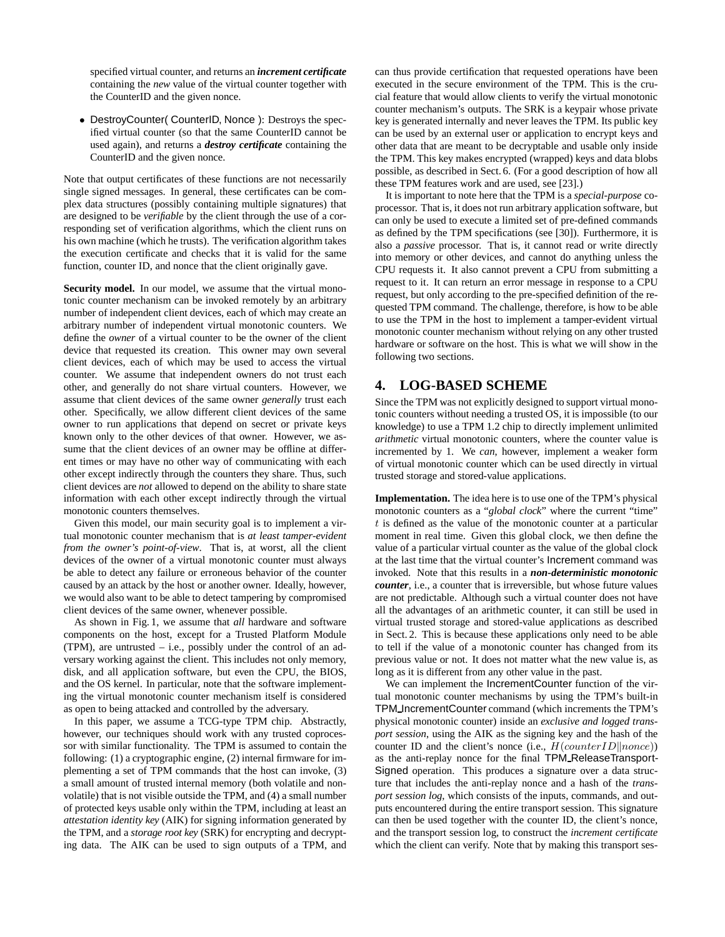specified virtual counter, and returns an *increment certificate* containing the *new* value of the virtual counter together with the CounterID and the given nonce.

• DestroyCounter( CounterID, Nonce ): Destroys the specified virtual counter (so that the same CounterID cannot be used again), and returns a *destroy certificate* containing the CounterID and the given nonce.

Note that output certificates of these functions are not necessarily single signed messages. In general, these certificates can be complex data structures (possibly containing multiple signatures) that are designed to be *verifiable* by the client through the use of a corresponding set of verification algorithms, which the client runs on his own machine (which he trusts). The verification algorithm takes the execution certificate and checks that it is valid for the same function, counter ID, and nonce that the client originally gave.

**Security model.** In our model, we assume that the virtual monotonic counter mechanism can be invoked remotely by an arbitrary number of independent client devices, each of which may create an arbitrary number of independent virtual monotonic counters. We define the *owner* of a virtual counter to be the owner of the client device that requested its creation. This owner may own several client devices, each of which may be used to access the virtual counter. We assume that independent owners do not trust each other, and generally do not share virtual counters. However, we assume that client devices of the same owner *generally* trust each other. Specifically, we allow different client devices of the same owner to run applications that depend on secret or private keys known only to the other devices of that owner. However, we assume that the client devices of an owner may be offline at different times or may have no other way of communicating with each other except indirectly through the counters they share. Thus, such client devices are *not* allowed to depend on the ability to share state information with each other except indirectly through the virtual monotonic counters themselves.

Given this model, our main security goal is to implement a virtual monotonic counter mechanism that is *at least tamper-evident from the owner's point-of-view*. That is, at worst, all the client devices of the owner of a virtual monotonic counter must always be able to detect any failure or erroneous behavior of the counter caused by an attack by the host or another owner. Ideally, however, we would also want to be able to detect tampering by compromised client devices of the same owner, whenever possible.

As shown in Fig. 1, we assume that *all* hardware and software components on the host, except for a Trusted Platform Module (TPM), are untrusted – i.e., possibly under the control of an adversary working against the client. This includes not only memory, disk, and all application software, but even the CPU, the BIOS, and the OS kernel. In particular, note that the software implementing the virtual monotonic counter mechanism itself is considered as open to being attacked and controlled by the adversary.

In this paper, we assume a TCG-type TPM chip. Abstractly, however, our techniques should work with any trusted coprocessor with similar functionality. The TPM is assumed to contain the following: (1) a cryptographic engine, (2) internal firmware for implementing a set of TPM commands that the host can invoke, (3) a small amount of trusted internal memory (both volatile and nonvolatile) that is not visible outside the TPM, and (4) a small number of protected keys usable only within the TPM, including at least an *attestation identity key* (AIK) for signing information generated by the TPM, and a *storage root key* (SRK) for encrypting and decrypting data. The AIK can be used to sign outputs of a TPM, and can thus provide certification that requested operations have been executed in the secure environment of the TPM. This is the crucial feature that would allow clients to verify the virtual monotonic counter mechanism's outputs. The SRK is a keypair whose private key is generated internally and never leaves the TPM. Its public key can be used by an external user or application to encrypt keys and other data that are meant to be decryptable and usable only inside the TPM. This key makes encrypted (wrapped) keys and data blobs possible, as described in Sect. 6. (For a good description of how all these TPM features work and are used, see [23].)

It is important to note here that the TPM is a *special-purpose* coprocessor. That is, it does not run arbitrary application software, but can only be used to execute a limited set of pre-defined commands as defined by the TPM specifications (see [30]). Furthermore, it is also a *passive* processor. That is, it cannot read or write directly into memory or other devices, and cannot do anything unless the CPU requests it. It also cannot prevent a CPU from submitting a request to it. It can return an error message in response to a CPU request, but only according to the pre-specified definition of the requested TPM command. The challenge, therefore, is how to be able to use the TPM in the host to implement a tamper-evident virtual monotonic counter mechanism without relying on any other trusted hardware or software on the host. This is what we will show in the following two sections.

# **4. LOG-BASED SCHEME**

Since the TPM was not explicitly designed to support virtual monotonic counters without needing a trusted OS, it is impossible (to our knowledge) to use a TPM 1.2 chip to directly implement unlimited *arithmetic* virtual monotonic counters, where the counter value is incremented by 1. We *can*, however, implement a weaker form of virtual monotonic counter which can be used directly in virtual trusted storage and stored-value applications.

**Implementation.** The idea here is to use one of the TPM's physical monotonic counters as a "*global clock*" where the current "time"  $t$  is defined as the value of the monotonic counter at a particular moment in real time. Given this global clock, we then define the value of a particular virtual counter as the value of the global clock at the last time that the virtual counter's Increment command was invoked. Note that this results in a *non-deterministic monotonic counter*, i.e., a counter that is irreversible, but whose future values are not predictable. Although such a virtual counter does not have all the advantages of an arithmetic counter, it can still be used in virtual trusted storage and stored-value applications as described in Sect. 2. This is because these applications only need to be able to tell if the value of a monotonic counter has changed from its previous value or not. It does not matter what the new value is, as long as it is different from any other value in the past.

We can implement the IncrementCounter function of the virtual monotonic counter mechanisms by using the TPM's built-in TPM IncrementCounter command (which increments the TPM's physical monotonic counter) inside an *exclusive and logged transport session*, using the AIK as the signing key and the hash of the counter ID and the client's nonce (i.e.,  $H(counterID||nonce)$ ) as the anti-replay nonce for the final TPM ReleaseTransport-Signed operation. This produces a signature over a data structure that includes the anti-replay nonce and a hash of the *transport session log*, which consists of the inputs, commands, and outputs encountered during the entire transport session. This signature can then be used together with the counter ID, the client's nonce, and the transport session log, to construct the *increment certificate* which the client can verify. Note that by making this transport ses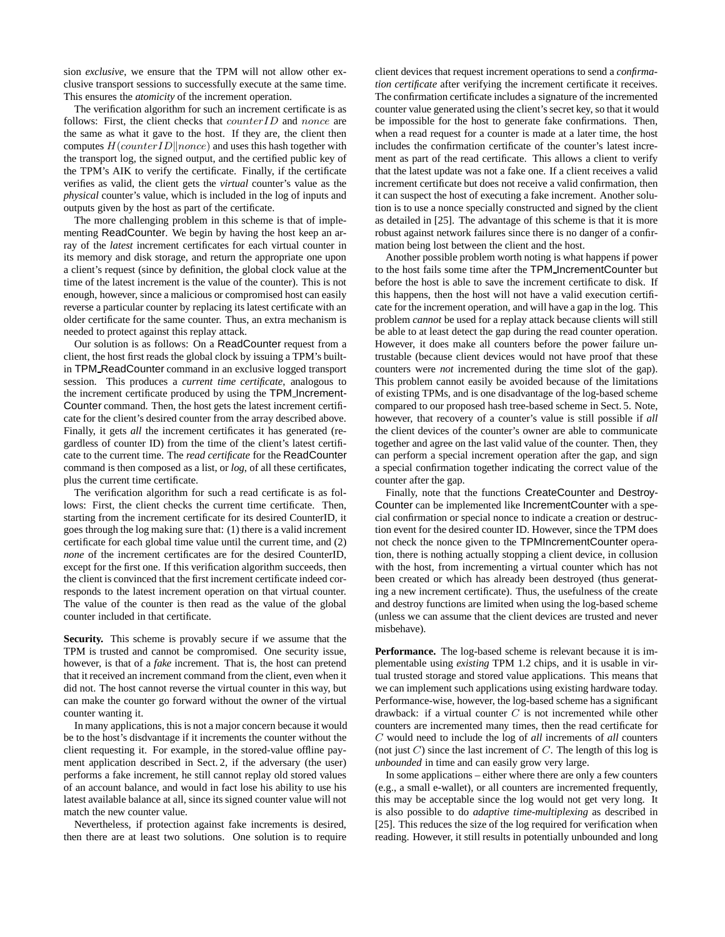sion *exclusive*, we ensure that the TPM will not allow other exclusive transport sessions to successfully execute at the same time. This ensures the *atomicity* of the increment operation.

The verification algorithm for such an increment certificate is as follows: First, the client checks that  $counterID$  and nonce are the same as what it gave to the host. If they are, the client then computes  $H$ (*counterID*||nonce) and uses this hash together with the transport log, the signed output, and the certified public key of the TPM's AIK to verify the certificate. Finally, if the certificate verifies as valid, the client gets the *virtual* counter's value as the *physical* counter's value, which is included in the log of inputs and outputs given by the host as part of the certificate.

The more challenging problem in this scheme is that of implementing ReadCounter. We begin by having the host keep an array of the *latest* increment certificates for each virtual counter in its memory and disk storage, and return the appropriate one upon a client's request (since by definition, the global clock value at the time of the latest increment is the value of the counter). This is not enough, however, since a malicious or compromised host can easily reverse a particular counter by replacing its latest certificate with an older certificate for the same counter. Thus, an extra mechanism is needed to protect against this replay attack.

Our solution is as follows: On a ReadCounter request from a client, the host first reads the global clock by issuing a TPM's builtin TPM ReadCounter command in an exclusive logged transport session. This produces a *current time certificate*, analogous to the increment certificate produced by using the TPM Increment-Counter command. Then, the host gets the latest increment certificate for the client's desired counter from the array described above. Finally, it gets *all* the increment certificates it has generated (regardless of counter ID) from the time of the client's latest certificate to the current time. The *read certificate* for the ReadCounter command is then composed as a list, or *log*, of all these certificates, plus the current time certificate.

The verification algorithm for such a read certificate is as follows: First, the client checks the current time certificate. Then, starting from the increment certificate for its desired CounterID, it goes through the log making sure that: (1) there is a valid increment certificate for each global time value until the current time, and (2) *none* of the increment certificates are for the desired CounterID, except for the first one. If this verification algorithm succeeds, then the client is convinced that the first increment certificate indeed corresponds to the latest increment operation on that virtual counter. The value of the counter is then read as the value of the global counter included in that certificate.

**Security.** This scheme is provably secure if we assume that the TPM is trusted and cannot be compromised. One security issue, however, is that of a *fake* increment. That is, the host can pretend that it received an increment command from the client, even when it did not. The host cannot reverse the virtual counter in this way, but can make the counter go forward without the owner of the virtual counter wanting it.

In many applications, this is not a major concern because it would be to the host's disdvantage if it increments the counter without the client requesting it. For example, in the stored-value offline payment application described in Sect. 2, if the adversary (the user) performs a fake increment, he still cannot replay old stored values of an account balance, and would in fact lose his ability to use his latest available balance at all, since its signed counter value will not match the new counter value.

Nevertheless, if protection against fake increments is desired, then there are at least two solutions. One solution is to require client devices that request increment operations to send a *confirmation certificate* after verifying the increment certificate it receives. The confirmation certificate includes a signature of the incremented counter value generated using the client's secret key, so that it would be impossible for the host to generate fake confirmations. Then, when a read request for a counter is made at a later time, the host includes the confirmation certificate of the counter's latest increment as part of the read certificate. This allows a client to verify that the latest update was not a fake one. If a client receives a valid increment certificate but does not receive a valid confirmation, then it can suspect the host of executing a fake increment. Another solution is to use a nonce specially constructed and signed by the client as detailed in [25]. The advantage of this scheme is that it is more robust against network failures since there is no danger of a confirmation being lost between the client and the host.

Another possible problem worth noting is what happens if power to the host fails some time after the TPM IncrementCounter but before the host is able to save the increment certificate to disk. If this happens, then the host will not have a valid execution certificate for the increment operation, and will have a gap in the log. This problem *cannot* be used for a replay attack because clients will still be able to at least detect the gap during the read counter operation. However, it does make all counters before the power failure untrustable (because client devices would not have proof that these counters were *not* incremented during the time slot of the gap). This problem cannot easily be avoided because of the limitations of existing TPMs, and is one disadvantage of the log-based scheme compared to our proposed hash tree-based scheme in Sect. 5. Note, however, that recovery of a counter's value is still possible if *all* the client devices of the counter's owner are able to communicate together and agree on the last valid value of the counter. Then, they can perform a special increment operation after the gap, and sign a special confirmation together indicating the correct value of the counter after the gap.

Finally, note that the functions CreateCounter and Destroy-Counter can be implemented like IncrementCounter with a special confirmation or special nonce to indicate a creation or destruction event for the desired counter ID. However, since the TPM does not check the nonce given to the TPMIncrementCounter operation, there is nothing actually stopping a client device, in collusion with the host, from incrementing a virtual counter which has not been created or which has already been destroyed (thus generating a new increment certificate). Thus, the usefulness of the create and destroy functions are limited when using the log-based scheme (unless we can assume that the client devices are trusted and never misbehave).

**Performance.** The log-based scheme is relevant because it is implementable using *existing* TPM 1.2 chips, and it is usable in virtual trusted storage and stored value applications. This means that we can implement such applications using existing hardware today. Performance-wise, however, the log-based scheme has a significant drawback: if a virtual counter  $C$  is not incremented while other counters are incremented many times, then the read certificate for C would need to include the log of *all* increments of *all* counters (not just  $C$ ) since the last increment of  $C$ . The length of this log is *unbounded* in time and can easily grow very large.

In some applications – either where there are only a few counters (e.g., a small e-wallet), or all counters are incremented frequently, this may be acceptable since the log would not get very long. It is also possible to do *adaptive time-multiplexing* as described in [25]. This reduces the size of the log required for verification when reading. However, it still results in potentially unbounded and long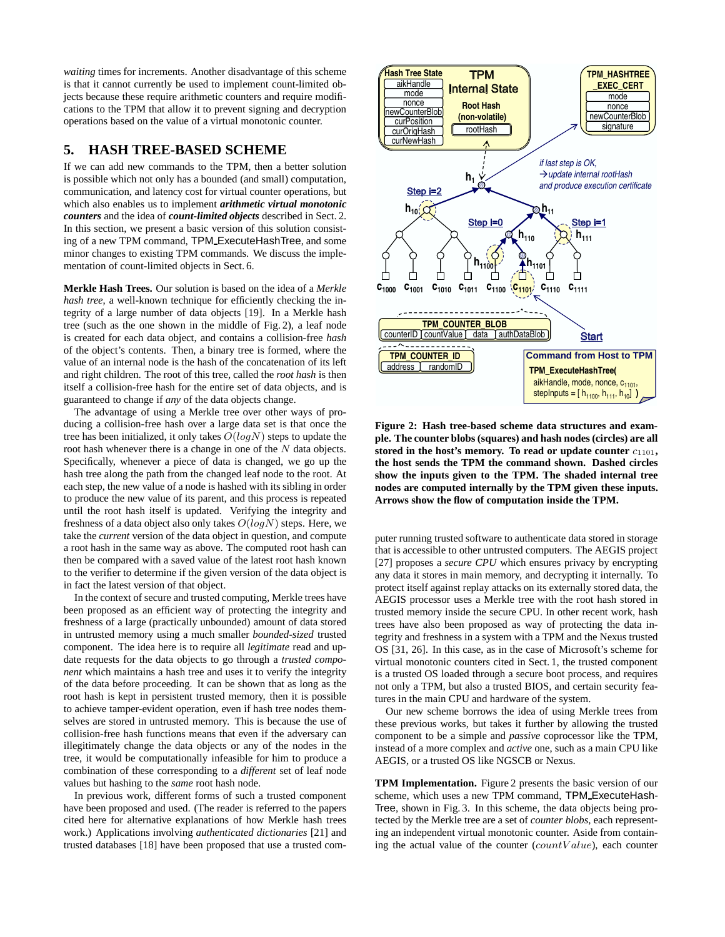*waiting* times for increments. Another disadvantage of this scheme is that it cannot currently be used to implement count-limited objects because these require arithmetic counters and require modifications to the TPM that allow it to prevent signing and decryption operations based on the value of a virtual monotonic counter.

# **5. HASH TREE-BASED SCHEME**

If we can add new commands to the TPM, then a better solution is possible which not only has a bounded (and small) computation, communication, and latency cost for virtual counter operations, but which also enables us to implement *arithmetic virtual monotonic counters* and the idea of *count-limited objects* described in Sect. 2. In this section, we present a basic version of this solution consisting of a new TPM command, TPM ExecuteHashTree, and some minor changes to existing TPM commands. We discuss the implementation of count-limited objects in Sect. 6.

**Merkle Hash Trees.** Our solution is based on the idea of a *Merkle hash tree*, a well-known technique for efficiently checking the integrity of a large number of data objects [19]. In a Merkle hash tree (such as the one shown in the middle of Fig. 2), a leaf node is created for each data object, and contains a collision-free *hash* of the object's contents. Then, a binary tree is formed, where the value of an internal node is the hash of the concatenation of its left and right children. The root of this tree, called the *root hash* is then itself a collision-free hash for the entire set of data objects, and is guaranteed to change if *any* of the data objects change.

The advantage of using a Merkle tree over other ways of producing a collision-free hash over a large data set is that once the tree has been initialized, it only takes  $O(logN)$  steps to update the root hash whenever there is a change in one of the  $N$  data objects. Specifically, whenever a piece of data is changed, we go up the hash tree along the path from the changed leaf node to the root. At each step, the new value of a node is hashed with its sibling in order to produce the new value of its parent, and this process is repeated until the root hash itself is updated. Verifying the integrity and freshness of a data object also only takes  $O(logN)$  steps. Here, we take the *current* version of the data object in question, and compute a root hash in the same way as above. The computed root hash can then be compared with a saved value of the latest root hash known to the verifier to determine if the given version of the data object is in fact the latest version of that object.

In the context of secure and trusted computing, Merkle trees have been proposed as an efficient way of protecting the integrity and freshness of a large (practically unbounded) amount of data stored in untrusted memory using a much smaller *bounded-sized* trusted component. The idea here is to require all *legitimate* read and update requests for the data objects to go through a *trusted component* which maintains a hash tree and uses it to verify the integrity of the data before proceeding. It can be shown that as long as the root hash is kept in persistent trusted memory, then it is possible to achieve tamper-evident operation, even if hash tree nodes themselves are stored in untrusted memory. This is because the use of collision-free hash functions means that even if the adversary can illegitimately change the data objects or any of the nodes in the tree, it would be computationally infeasible for him to produce a combination of these corresponding to a *different* set of leaf node values but hashing to the *same* root hash node.

In previous work, different forms of such a trusted component have been proposed and used. (The reader is referred to the papers cited here for alternative explanations of how Merkle hash trees work.) Applications involving *authenticated dictionaries* [21] and trusted databases [18] have been proposed that use a trusted com-



**Figure 2: Hash tree-based scheme data structures and example. The counter blobs (squares) and hash nodes (circles) are all stored in the host's memory. To read or update counter** c1101**, the host sends the TPM the command shown. Dashed circles show the inputs given to the TPM. The shaded internal tree nodes are computed internally by the TPM given these inputs. Arrows show the flow of computation inside the TPM.**

puter running trusted software to authenticate data stored in storage that is accessible to other untrusted computers. The AEGIS project [27] proposes a *secure CPU* which ensures privacy by encrypting any data it stores in main memory, and decrypting it internally. To protect itself against replay attacks on its externally stored data, the AEGIS processor uses a Merkle tree with the root hash stored in trusted memory inside the secure CPU. In other recent work, hash trees have also been proposed as way of protecting the data integrity and freshness in a system with a TPM and the Nexus trusted OS [31, 26]. In this case, as in the case of Microsoft's scheme for virtual monotonic counters cited in Sect. 1, the trusted component is a trusted OS loaded through a secure boot process, and requires not only a TPM, but also a trusted BIOS, and certain security features in the main CPU and hardware of the system.

Our new scheme borrows the idea of using Merkle trees from these previous works, but takes it further by allowing the trusted component to be a simple and *passive* coprocessor like the TPM, instead of a more complex and *active* one, such as a main CPU like AEGIS, or a trusted OS like NGSCB or Nexus.

**TPM Implementation.** Figure 2 presents the basic version of our scheme, which uses a new TPM command, TPM ExecuteHash-Tree, shown in Fig. 3. In this scheme, the data objects being protected by the Merkle tree are a set of *counter blobs*, each representing an independent virtual monotonic counter. Aside from containing the actual value of the counter  $(countValue)$ , each counter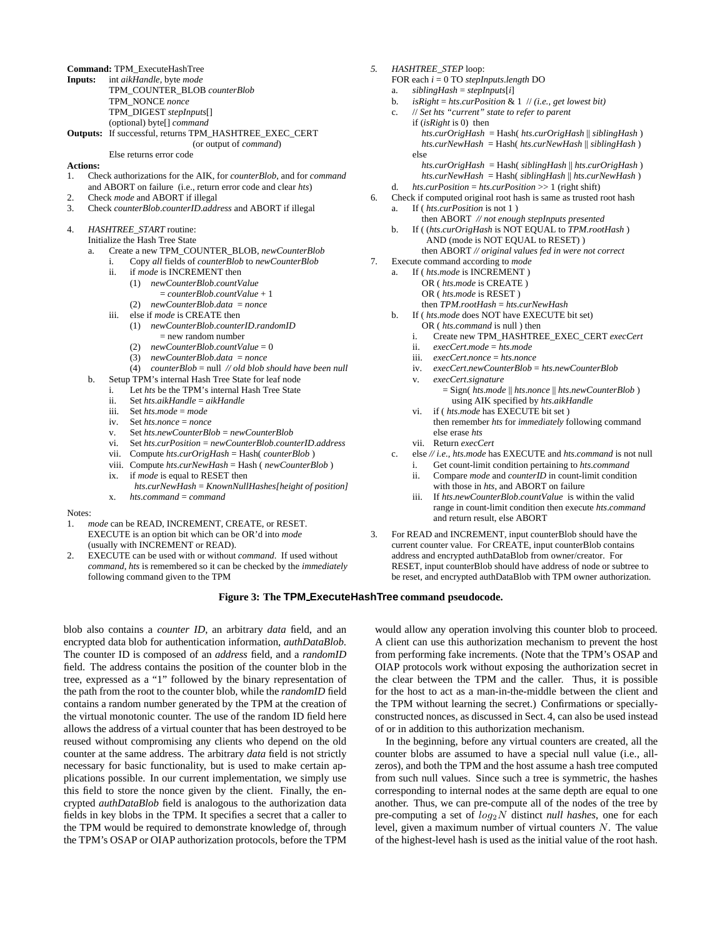**Command:** TPM\_ExecuteHashTree

| Inputs: | int aikHandle, byte mode                               |
|---------|--------------------------------------------------------|
|         | TPM COUNTER BLOB counterBlob                           |
|         | TPM NONCE nonce                                        |
|         | TPM DIGEST stepInputs[]                                |
|         | (optional) byte <sup>[]</sup> <i>command</i>           |
|         | Outputs: If successful, returns TPM_HASHTREE EXEC CERT |
|         |                                                        |

(or output of *command*) Else returns error code

#### **Actions:**

- 1. Check authorizations for the AIK, for *counterBlob*, and for *command* and ABORT on failure (i.e., return error code and clear *hts*)
- 2. Check *mode* and ABORT if illegal
- 3. Check *counterBlob*.*counterID*.*address* and ABORT if illegal
- 4. *HASHTREE\_START* routine:
	- Initialize the Hash Tree State
		- a. Create a new TPM\_COUNTER\_BLOB, *newCounterBlob*
			- i. Copy *all* fields of *counterBlob* to *newCounterBlob*
				- ii. if *mode* is INCREMENT then
					- (1) *newCounterBlob*.*countValue*
						- = *counterBlob*.*countValue* + 1
					- (2) *newCounterBlob*.*data* = *nonce*
				- iii. else if *mode* is CREATE then
					- (1) *newCounterBlob*.*counterID*.*randomID*
						- = new random number
						- (2) *newCounterBlob*.*countValue* = 0
						- (3) *newCounterBlob*.*data* = *nonce*
				- (4) *counterBlob* = null *// old blob should have been null*
		- b. Setup TPM's internal Hash Tree State for leaf node
			- i. Let *hts* be the TPM's internal Hash Tree State
			- ii. Set *hts*.*aikHandle* = *aikHandle*
			- iii. Set *hts*.*mode* = *mode*
			- iv. Set *hts*.*nonce* = *nonce*
			- v. Set *hts*.*newCounterBlob* = *newCounterBlob*
			- vi. Set *hts*.*curPosition* = *newCounterBlob*.*counterID*.*address*
			- vii. Compute *hts*.*curOrigHash* = Hash( *counterBlob* )
			- viii. Compute *hts*.*curNewHash* = Hash ( *newCounterBlob* ) ix. if *mode* is equal to RESET then
			- *hts*.*curNewHash* = *KnownNullHashes[height of position]*
			- x. *hts*.*command* = *command*
- Notes:
- 1. *mode* can be READ, INCREMENT, CREATE, or RESET. EXECUTE is an option bit which can be OR'd into *mode* (usually with INCREMENT or READ).
- 2. EXECUTE can be used with or without *command*. If used without *command*, *hts* is remembered so it can be checked by the *immediately* following command given to the TPM
- *5. HASHTREE\_STEP* loop:
	- FOR each *i* = 0 TO *stepInputs*.*length* DO
	- a. *siblingHash* = *stepInputs*[*i*]
	- b. *isRight* = *hts*.*curPosition* & 1 // *(i.e., get lowest bit)*
	- c. // *Set hts "current" state to refer to parent* if (*isRight* is 0) then *hts*.*curOrigHash* = Hash( *hts*.*curOrigHash* || *siblingHash* ) *hts.curNewHash* = Hash( *hts*.*curNewHash* || *siblingHash* ) else *hts.curOrigHash* = Hash( *siblingHash* || *hts*.*curOrigHash* )
		- *hts.curNewHash* = Hash( *siblingHash* || *hts*.*curNewHash* )
	- d. *hts*.*curPosition* = *hts*.*curPosition* >> 1 (right shift)
- 6. Check if computed original root hash is same as trusted root hash a. If ( *hts*.*curPosition* is not 1 )
	- then ABORT *// not enough stepInputs presented* b. If ( (*hts*.*curOrigHash* is NOT EQUAL to *TPM*.*rootHash* ) AND (mode is NOT EQUAL to RESET) )
	- then ABORT *// original values fed in were not correct*
- 7. Execute command according to *mode*
	- a. If ( *hts*.*mode* is INCREMENT ) OR ( *hts*.*mode* is CREATE ) OR ( *hts*.*mode* is RESET ) then *TPM*.*rootHash* = *hts*.*curNewHash*
	- b. If ( *hts*.*mode* does NOT have EXECUTE bit set)
		- OR ( *hts.command* is null ) then
		- i. Create new TPM\_HASHTREE\_EXEC\_CERT *execCert*
		- ii. *execCert*.*mode* = *hts*.*mode*
		- iii. *execCert*.*nonce* = *hts*.*nonce*
		- iv. *execCert*.*newCounterBlob* = *hts*.*newCounterBlob*
		- v. *execCert*.*signature*
			- = Sign( *hts*.*mode* || *hts*.*nonce* || *hts*.*newCounterBlob* ) using AIK specified by *hts*.*aikHandle*
		- vi. if ( *hts*.*mode* has EXECUTE bit set ) then remember *hts* for *immediately* following command else erase *hts*
		- vii. Return *execCert*
	- c. else *// i.e., hts*.*mode* has EXECUTE and *hts.command* is not null i. Get count-limit condition pertaining to *hts*.*command*
		- ii. Compare *mode* and *counterID* in count-limit condition with those in *hts*, and ABORT on failure
		- iii. If *hts*.*newCounterBlob*.*countValue* is within the valid range in count-limit condition then execute *hts*.*command* and return result, else ABORT
- 3. For READ and INCREMENT, input counterBlob should have the current counter value. For CREATE, input counterBlob contains address and encrypted authDataBlob from owner/creator. For RESET, input counterBlob should have address of node or subtree to be reset, and encrypted authDataBlob with TPM owner authorization.

### **Figure 3: The TPM ExecuteHashTree command pseudocode.**

blob also contains a *counter ID*, an arbitrary *data* field, and an encrypted data blob for authentication information, *authDataBlob*. The counter ID is composed of an *address* field, and a *randomID* field. The address contains the position of the counter blob in the tree, expressed as a "1" followed by the binary representation of the path from the root to the counter blob, while the *randomID* field contains a random number generated by the TPM at the creation of the virtual monotonic counter. The use of the random ID field here allows the address of a virtual counter that has been destroyed to be reused without compromising any clients who depend on the old counter at the same address. The arbitrary *data* field is not strictly necessary for basic functionality, but is used to make certain applications possible. In our current implementation, we simply use this field to store the nonce given by the client. Finally, the encrypted *authDataBlob* field is analogous to the authorization data fields in key blobs in the TPM. It specifies a secret that a caller to the TPM would be required to demonstrate knowledge of, through the TPM's OSAP or OIAP authorization protocols, before the TPM

would allow any operation involving this counter blob to proceed. A client can use this authorization mechanism to prevent the host from performing fake increments. (Note that the TPM's OSAP and OIAP protocols work without exposing the authorization secret in the clear between the TPM and the caller. Thus, it is possible for the host to act as a man-in-the-middle between the client and the TPM without learning the secret.) Confirmations or speciallyconstructed nonces, as discussed in Sect. 4, can also be used instead of or in addition to this authorization mechanism.

In the beginning, before any virtual counters are created, all the counter blobs are assumed to have a special null value (i.e., allzeros), and both the TPM and the host assume a hash tree computed from such null values. Since such a tree is symmetric, the hashes corresponding to internal nodes at the same depth are equal to one another. Thus, we can pre-compute all of the nodes of the tree by pre-computing a set of log2N distinct *null hashes*, one for each level, given a maximum number of virtual counters N. The value of the highest-level hash is used as the initial value of the root hash.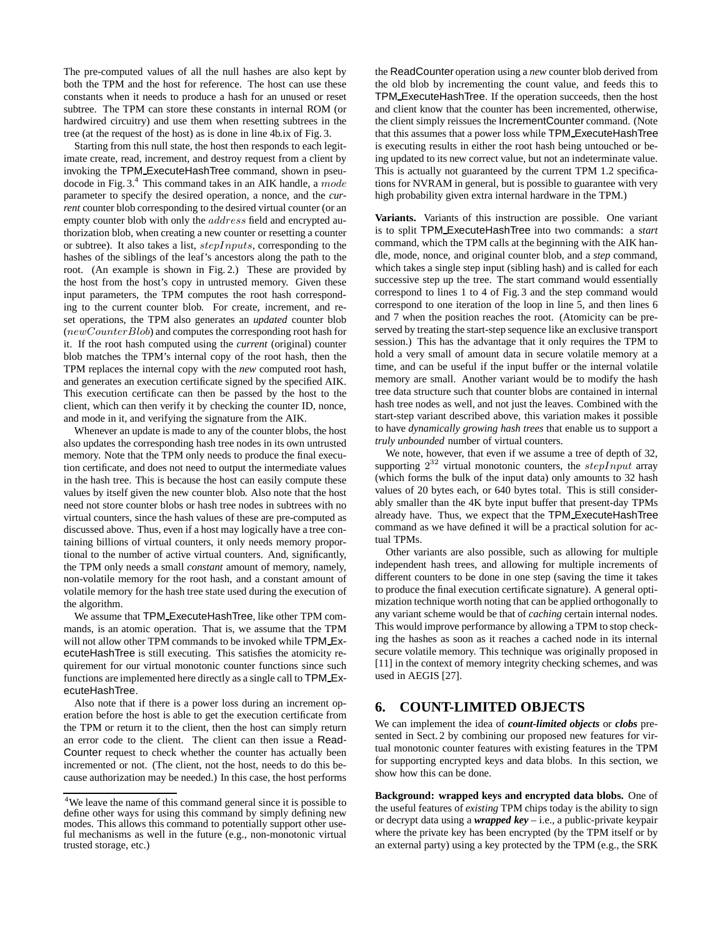The pre-computed values of all the null hashes are also kept by both the TPM and the host for reference. The host can use these constants when it needs to produce a hash for an unused or reset subtree. The TPM can store these constants in internal ROM (or hardwired circuitry) and use them when resetting subtrees in the tree (at the request of the host) as is done in line 4b.ix of Fig. 3.

Starting from this null state, the host then responds to each legitimate create, read, increment, and destroy request from a client by invoking the TPM ExecuteHashTree command, shown in pseudocode in Fig.  $3<sup>4</sup>$ . This command takes in an AIK handle, a mode parameter to specify the desired operation, a nonce, and the *current* counter blob corresponding to the desired virtual counter (or an empty counter blob with only the *address* field and encrypted authorization blob, when creating a new counter or resetting a counter or subtree). It also takes a list, stepInputs, corresponding to the hashes of the siblings of the leaf's ancestors along the path to the root. (An example is shown in Fig. 2.) These are provided by the host from the host's copy in untrusted memory. Given these input parameters, the TPM computes the root hash corresponding to the current counter blob. For create, increment, and reset operations, the TPM also generates an *updated* counter blob  $(newCounterBlob)$  and computes the corresponding root hash for it. If the root hash computed using the *current* (original) counter blob matches the TPM's internal copy of the root hash, then the TPM replaces the internal copy with the *new* computed root hash, and generates an execution certificate signed by the specified AIK. This execution certificate can then be passed by the host to the client, which can then verify it by checking the counter ID, nonce, and mode in it, and verifying the signature from the AIK.

Whenever an update is made to any of the counter blobs, the host also updates the corresponding hash tree nodes in its own untrusted memory. Note that the TPM only needs to produce the final execution certificate, and does not need to output the intermediate values in the hash tree. This is because the host can easily compute these values by itself given the new counter blob. Also note that the host need not store counter blobs or hash tree nodes in subtrees with no virtual counters, since the hash values of these are pre-computed as discussed above. Thus, even if a host may logically have a tree containing billions of virtual counters, it only needs memory proportional to the number of active virtual counters. And, significantly, the TPM only needs a small *constant* amount of memory, namely, non-volatile memory for the root hash, and a constant amount of volatile memory for the hash tree state used during the execution of the algorithm.

We assume that TPM ExecuteHashTree, like other TPM commands, is an atomic operation. That is, we assume that the TPM will not allow other TPM commands to be invoked while TPM ExecuteHashTree is still executing. This satisfies the atomicity requirement for our virtual monotonic counter functions since such functions are implemented here directly as a single call to TPM ExecuteHashTree.

Also note that if there is a power loss during an increment operation before the host is able to get the execution certificate from the TPM or return it to the client, then the host can simply return an error code to the client. The client can then issue a Read-Counter request to check whether the counter has actually been incremented or not. (The client, not the host, needs to do this because authorization may be needed.) In this case, the host performs

the ReadCounter operation using a *new* counter blob derived from the old blob by incrementing the count value, and feeds this to TPM ExecuteHashTree. If the operation succeeds, then the host and client know that the counter has been incremented, otherwise, the client simply reissues the IncrementCounter command. (Note that this assumes that a power loss while TPM ExecuteHashTree is executing results in either the root hash being untouched or being updated to its new correct value, but not an indeterminate value. This is actually not guaranteed by the current TPM 1.2 specifications for NVRAM in general, but is possible to guarantee with very high probability given extra internal hardware in the TPM.)

**Variants.** Variants of this instruction are possible. One variant is to split TPM ExecuteHashTree into two commands: a *start* command, which the TPM calls at the beginning with the AIK handle, mode, nonce, and original counter blob, and a *step* command, which takes a single step input (sibling hash) and is called for each successive step up the tree. The start command would essentially correspond to lines 1 to 4 of Fig. 3 and the step command would correspond to one iteration of the loop in line 5, and then lines 6 and 7 when the position reaches the root. (Atomicity can be preserved by treating the start-step sequence like an exclusive transport session.) This has the advantage that it only requires the TPM to hold a very small of amount data in secure volatile memory at a time, and can be useful if the input buffer or the internal volatile memory are small. Another variant would be to modify the hash tree data structure such that counter blobs are contained in internal hash tree nodes as well, and not just the leaves. Combined with the start-step variant described above, this variation makes it possible to have *dynamically growing hash trees* that enable us to support a *truly unbounded* number of virtual counters.

We note, however, that even if we assume a tree of depth of 32, supporting  $2^{32}$  virtual monotonic counters, the step Input array (which forms the bulk of the input data) only amounts to 32 hash values of 20 bytes each, or 640 bytes total. This is still considerably smaller than the 4K byte input buffer that present-day TPMs already have. Thus, we expect that the TPM ExecuteHashTree command as we have defined it will be a practical solution for actual TPMs.

Other variants are also possible, such as allowing for multiple independent hash trees, and allowing for multiple increments of different counters to be done in one step (saving the time it takes to produce the final execution certificate signature). A general optimization technique worth noting that can be applied orthogonally to any variant scheme would be that of *caching* certain internal nodes. This would improve performance by allowing a TPM to stop checking the hashes as soon as it reaches a cached node in its internal secure volatile memory. This technique was originally proposed in [11] in the context of memory integrity checking schemes, and was used in AEGIS [27].

### **6. COUNT-LIMITED OBJECTS**

We can implement the idea of *count-limited objects* or *clobs* presented in Sect. 2 by combining our proposed new features for virtual monotonic counter features with existing features in the TPM for supporting encrypted keys and data blobs. In this section, we show how this can be done.

**Background: wrapped keys and encrypted data blobs.** One of the useful features of *existing* TPM chips today is the ability to sign or decrypt data using a *wrapped key* – i.e., a public-private keypair where the private key has been encrypted (by the TPM itself or by an external party) using a key protected by the TPM (e.g., the SRK

<sup>4</sup>We leave the name of this command general since it is possible to define other ways for using this command by simply defining new modes. This allows this command to potentially support other useful mechanisms as well in the future (e.g., non-monotonic virtual trusted storage, etc.)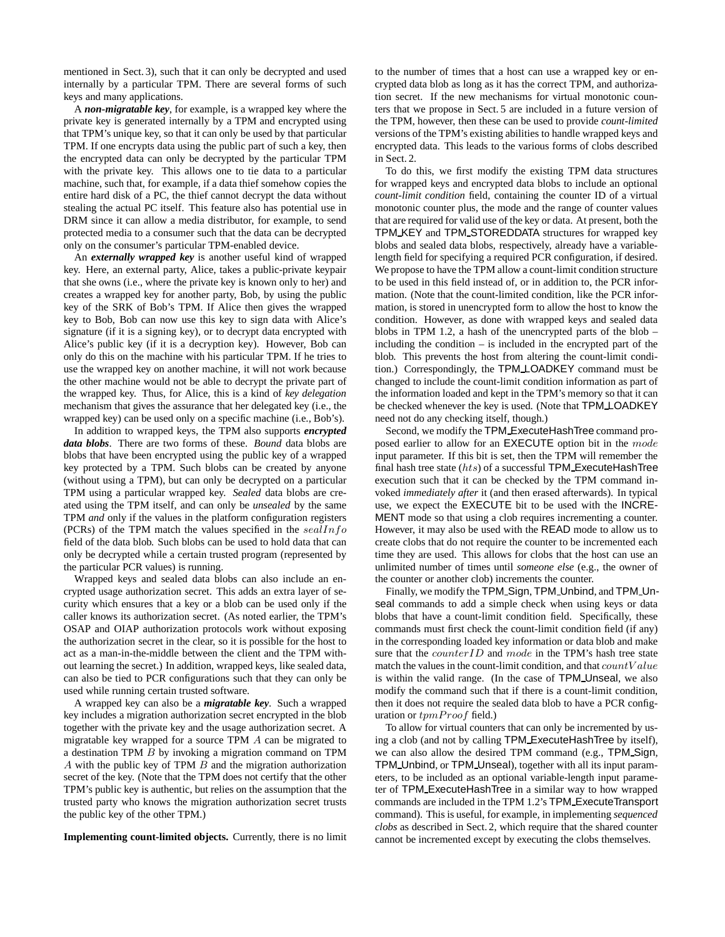mentioned in Sect. 3), such that it can only be decrypted and used internally by a particular TPM. There are several forms of such keys and many applications.

A *non-migratable key*, for example, is a wrapped key where the private key is generated internally by a TPM and encrypted using that TPM's unique key, so that it can only be used by that particular TPM. If one encrypts data using the public part of such a key, then the encrypted data can only be decrypted by the particular TPM with the private key. This allows one to tie data to a particular machine, such that, for example, if a data thief somehow copies the entire hard disk of a PC, the thief cannot decrypt the data without stealing the actual PC itself. This feature also has potential use in DRM since it can allow a media distributor, for example, to send protected media to a consumer such that the data can be decrypted only on the consumer's particular TPM-enabled device.

An *externally wrapped key* is another useful kind of wrapped key. Here, an external party, Alice, takes a public-private keypair that she owns (i.e., where the private key is known only to her) and creates a wrapped key for another party, Bob, by using the public key of the SRK of Bob's TPM. If Alice then gives the wrapped key to Bob, Bob can now use this key to sign data with Alice's signature (if it is a signing key), or to decrypt data encrypted with Alice's public key (if it is a decryption key). However, Bob can only do this on the machine with his particular TPM. If he tries to use the wrapped key on another machine, it will not work because the other machine would not be able to decrypt the private part of the wrapped key. Thus, for Alice, this is a kind of *key delegation* mechanism that gives the assurance that her delegated key (i.e., the wrapped key) can be used only on a specific machine (i.e., Bob's).

In addition to wrapped keys, the TPM also supports *encrypted data blobs*. There are two forms of these. *Bound* data blobs are blobs that have been encrypted using the public key of a wrapped key protected by a TPM. Such blobs can be created by anyone (without using a TPM), but can only be decrypted on a particular TPM using a particular wrapped key. *Sealed* data blobs are created using the TPM itself, and can only be *unsealed* by the same TPM *and* only if the values in the platform configuration registers (PCRs) of the TPM match the values specified in the  $seallnfo$ field of the data blob. Such blobs can be used to hold data that can only be decrypted while a certain trusted program (represented by the particular PCR values) is running.

Wrapped keys and sealed data blobs can also include an encrypted usage authorization secret. This adds an extra layer of security which ensures that a key or a blob can be used only if the caller knows its authorization secret. (As noted earlier, the TPM's OSAP and OIAP authorization protocols work without exposing the authorization secret in the clear, so it is possible for the host to act as a man-in-the-middle between the client and the TPM without learning the secret.) In addition, wrapped keys, like sealed data, can also be tied to PCR configurations such that they can only be used while running certain trusted software.

A wrapped key can also be a *migratable key*. Such a wrapped key includes a migration authorization secret encrypted in the blob together with the private key and the usage authorization secret. A migratable key wrapped for a source TPM A can be migrated to a destination TPM B by invoking a migration command on TPM A with the public key of TPM B and the migration authorization secret of the key. (Note that the TPM does not certify that the other TPM's public key is authentic, but relies on the assumption that the trusted party who knows the migration authorization secret trusts the public key of the other TPM.)

**Implementing count-limited objects.** Currently, there is no limit

to the number of times that a host can use a wrapped key or encrypted data blob as long as it has the correct TPM, and authorization secret. If the new mechanisms for virtual monotonic counters that we propose in Sect. 5 are included in a future version of the TPM, however, then these can be used to provide *count-limited* versions of the TPM's existing abilities to handle wrapped keys and encrypted data. This leads to the various forms of clobs described in Sect. 2.

To do this, we first modify the existing TPM data structures for wrapped keys and encrypted data blobs to include an optional *count-limit condition* field, containing the counter ID of a virtual monotonic counter plus, the mode and the range of counter values that are required for valid use of the key or data. At present, both the TPM KEY and TPM STOREDDATA structures for wrapped key blobs and sealed data blobs, respectively, already have a variablelength field for specifying a required PCR configuration, if desired. We propose to have the TPM allow a count-limit condition structure to be used in this field instead of, or in addition to, the PCR information. (Note that the count-limited condition, like the PCR information, is stored in unencrypted form to allow the host to know the condition. However, as done with wrapped keys and sealed data blobs in TPM 1.2, a hash of the unencrypted parts of the blob – including the condition – is included in the encrypted part of the blob. This prevents the host from altering the count-limit condition.) Correspondingly, the TPM LOADKEY command must be changed to include the count-limit condition information as part of the information loaded and kept in the TPM's memory so that it can be checked whenever the key is used. (Note that TPM LOADKEY need not do any checking itself, though.)

Second, we modify the TPM ExecuteHashTree command proposed earlier to allow for an EXECUTE option bit in the mode input parameter. If this bit is set, then the TPM will remember the final hash tree state  $(hts)$  of a successful TPM ExecuteHashTree execution such that it can be checked by the TPM command invoked *immediately after* it (and then erased afterwards). In typical use, we expect the EXECUTE bit to be used with the INCRE-MENT mode so that using a clob requires incrementing a counter. However, it may also be used with the READ mode to allow us to create clobs that do not require the counter to be incremented each time they are used. This allows for clobs that the host can use an unlimited number of times until *someone else* (e.g., the owner of the counter or another clob) increments the counter.

Finally, we modify the TPM Sign, TPM Unbind, and TPM Unseal commands to add a simple check when using keys or data blobs that have a count-limit condition field. Specifically, these commands must first check the count-limit condition field (if any) in the corresponding loaded key information or data blob and make sure that the  $counterID$  and  $mode$  in the TPM's hash tree state match the values in the count-limit condition, and that  $countValue$ is within the valid range. (In the case of TPM Unseal, we also modify the command such that if there is a count-limit condition, then it does not require the sealed data blob to have a PCR configuration or tpmProof field.)

To allow for virtual counters that can only be incremented by using a clob (and not by calling TPM ExecuteHashTree by itself), we can also allow the desired TPM command (e.g., TPM Sign, TPM Unbind, or TPM Unseal), together with all its input parameters, to be included as an optional variable-length input parameter of TPM ExecuteHashTree in a similar way to how wrapped commands are included in the TPM 1.2's TPM ExecuteTransport command). This is useful, for example, in implementing *sequenced clobs* as described in Sect. 2, which require that the shared counter cannot be incremented except by executing the clobs themselves.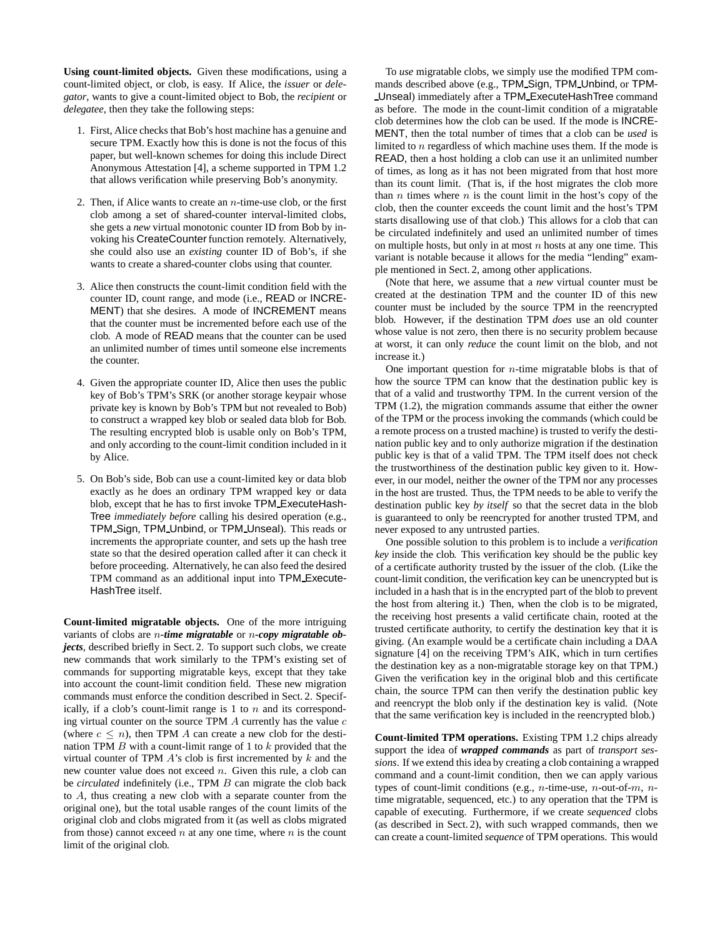**Using count-limited objects.** Given these modifications, using a count-limited object, or clob, is easy. If Alice, the *issuer* or *delegator*, wants to give a count-limited object to Bob, the *recipient* or *delegatee*, then they take the following steps:

- 1. First, Alice checks that Bob's host machine has a genuine and secure TPM. Exactly how this is done is not the focus of this paper, but well-known schemes for doing this include Direct Anonymous Attestation [4], a scheme supported in TPM 1.2 that allows verification while preserving Bob's anonymity.
- 2. Then, if Alice wants to create an  $n$ -time-use clob, or the first clob among a set of shared-counter interval-limited clobs, she gets a *new* virtual monotonic counter ID from Bob by invoking his CreateCounter function remotely. Alternatively, she could also use an *existing* counter ID of Bob's, if she wants to create a shared-counter clobs using that counter.
- 3. Alice then constructs the count-limit condition field with the counter ID, count range, and mode (i.e., READ or INCRE-MENT) that she desires. A mode of INCREMENT means that the counter must be incremented before each use of the clob. A mode of READ means that the counter can be used an unlimited number of times until someone else increments the counter.
- 4. Given the appropriate counter ID, Alice then uses the public key of Bob's TPM's SRK (or another storage keypair whose private key is known by Bob's TPM but not revealed to Bob) to construct a wrapped key blob or sealed data blob for Bob. The resulting encrypted blob is usable only on Bob's TPM, and only according to the count-limit condition included in it by Alice.
- 5. On Bob's side, Bob can use a count-limited key or data blob exactly as he does an ordinary TPM wrapped key or data blob, except that he has to first invoke TPM ExecuteHash-Tree *immediately before* calling his desired operation (e.g., TPM Sign, TPM Unbind, or TPM Unseal). This reads or increments the appropriate counter, and sets up the hash tree state so that the desired operation called after it can check it before proceeding. Alternatively, he can also feed the desired TPM command as an additional input into TPM Execute-HashTree itself.

**Count-limited migratable objects.** One of the more intriguing variants of clobs are n*-time migratable* or n*-copy migratable objects*, described briefly in Sect. 2. To support such clobs, we create new commands that work similarly to the TPM's existing set of commands for supporting migratable keys, except that they take into account the count-limit condition field. These new migration commands must enforce the condition described in Sect. 2. Specifically, if a clob's count-limit range is 1 to  $n$  and its corresponding virtual counter on the source TPM  $\ddot{A}$  currently has the value  $c$ (where  $c \le n$ ), then TPM A can create a new clob for the destination TPM  $B$  with a count-limit range of 1 to  $k$  provided that the virtual counter of TPM  $A$ 's clob is first incremented by  $k$  and the new counter value does not exceed  $n$ . Given this rule, a clob can be *circulated* indefinitely (i.e., TPM B can migrate the clob back to A, thus creating a new clob with a separate counter from the original one), but the total usable ranges of the count limits of the original clob and clobs migrated from it (as well as clobs migrated from those) cannot exceed  $n$  at any one time, where  $n$  is the count limit of the original clob.

To *use* migratable clobs, we simply use the modified TPM commands described above (e.g., TPM Sign, TPM Unbind, or TPM-Unseal) immediately after a TPM ExecuteHashTree command as before. The mode in the count-limit condition of a migratable clob determines how the clob can be used. If the mode is INCRE-MENT, then the total number of times that a clob can be *used* is limited to n regardless of which machine uses them. If the mode is READ, then a host holding a clob can use it an unlimited number of times, as long as it has not been migrated from that host more than its count limit. (That is, if the host migrates the clob more than  $n$  times where  $n$  is the count limit in the host's copy of the clob, then the counter exceeds the count limit and the host's TPM starts disallowing use of that clob.) This allows for a clob that can be circulated indefinitely and used an unlimited number of times on multiple hosts, but only in at most  $n$  hosts at any one time. This variant is notable because it allows for the media "lending" example mentioned in Sect. 2, among other applications.

(Note that here, we assume that a *new* virtual counter must be created at the destination TPM and the counter ID of this new counter must be included by the source TPM in the reencrypted blob. However, if the destination TPM *does* use an old counter whose value is not zero, then there is no security problem because at worst, it can only *reduce* the count limit on the blob, and not increase it.)

One important question for  $n$ -time migratable blobs is that of how the source TPM can know that the destination public key is that of a valid and trustworthy TPM. In the current version of the TPM (1.2), the migration commands assume that either the owner of the TPM or the process invoking the commands (which could be a remote process on a trusted machine) is trusted to verify the destination public key and to only authorize migration if the destination public key is that of a valid TPM. The TPM itself does not check the trustworthiness of the destination public key given to it. However, in our model, neither the owner of the TPM nor any processes in the host are trusted. Thus, the TPM needs to be able to verify the destination public key *by itself* so that the secret data in the blob is guaranteed to only be reencrypted for another trusted TPM, and never exposed to any untrusted parties.

One possible solution to this problem is to include a *verification key* inside the clob. This verification key should be the public key of a certificate authority trusted by the issuer of the clob. (Like the count-limit condition, the verification key can be unencrypted but is included in a hash that is in the encrypted part of the blob to prevent the host from altering it.) Then, when the clob is to be migrated, the receiving host presents a valid certificate chain, rooted at the trusted certificate authority, to certify the destination key that it is giving. (An example would be a certificate chain including a DAA signature [4] on the receiving TPM's AIK, which in turn certifies the destination key as a non-migratable storage key on that TPM.) Given the verification key in the original blob and this certificate chain, the source TPM can then verify the destination public key and reencrypt the blob only if the destination key is valid. (Note that the same verification key is included in the reencrypted blob.)

**Count-limited TPM operations.** Existing TPM 1.2 chips already support the idea of *wrapped commands* as part of *transport sessions*. If we extend thisidea by creating a clob containing a wrapped command and a count-limit condition, then we can apply various types of count-limit conditions (e.g., *n*-time-use, *n*-out-of- $m$ ,  $n$ time migratable, sequenced, etc.) to any operation that the TPM is capable of executing. Furthermore, if we create *sequenced* clobs (as described in Sect. 2), with such wrapped commands, then we can create a count-limited *sequence* of TPM operations. This would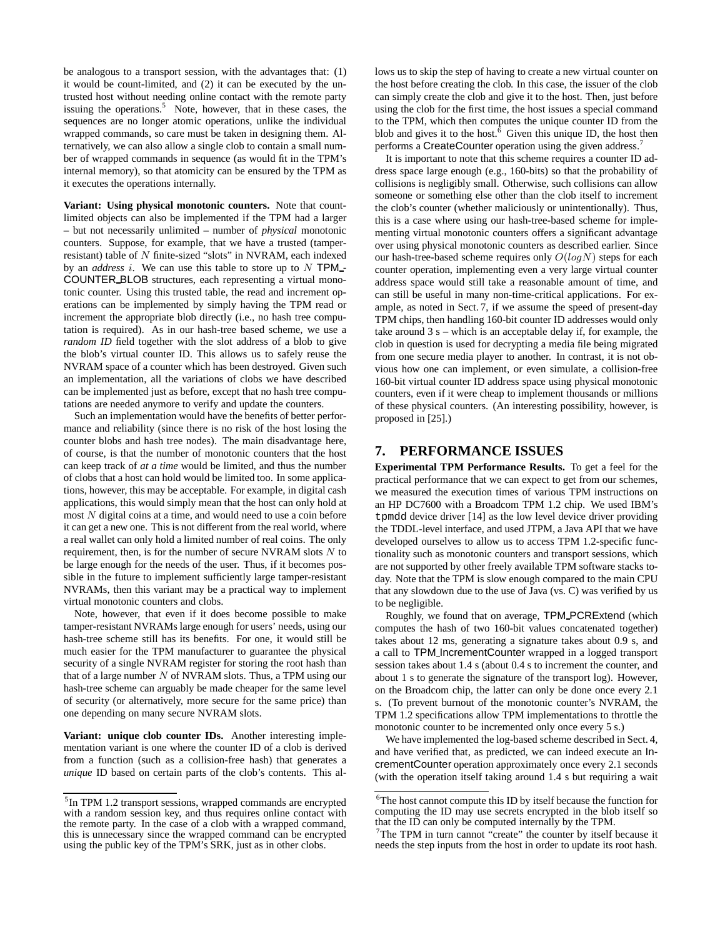be analogous to a transport session, with the advantages that: (1) it would be count-limited, and (2) it can be executed by the untrusted host without needing online contact with the remote party issuing the operations.<sup>5</sup> Note, however, that in these cases, the sequences are no longer atomic operations, unlike the individual wrapped commands, so care must be taken in designing them. Alternatively, we can also allow a single clob to contain a small number of wrapped commands in sequence (as would fit in the TPM's internal memory), so that atomicity can be ensured by the TPM as it executes the operations internally.

**Variant: Using physical monotonic counters.** Note that countlimited objects can also be implemented if the TPM had a larger – but not necessarily unlimited – number of *physical* monotonic counters. Suppose, for example, that we have a trusted (tamperresistant) table of N finite-sized "slots" in NVRAM, each indexed by an  $address$  i. We can use this table to store up to  $N$  TPM<sub>-</sub>-COUNTER BLOB structures, each representing a virtual monotonic counter. Using this trusted table, the read and increment operations can be implemented by simply having the TPM read or increment the appropriate blob directly (i.e., no hash tree computation is required). As in our hash-tree based scheme, we use a *random ID* field together with the slot address of a blob to give the blob's virtual counter ID. This allows us to safely reuse the NVRAM space of a counter which has been destroyed. Given such an implementation, all the variations of clobs we have described can be implemented just as before, except that no hash tree computations are needed anymore to verify and update the counters.

Such an implementation would have the benefits of better performance and reliability (since there is no risk of the host losing the counter blobs and hash tree nodes). The main disadvantage here, of course, is that the number of monotonic counters that the host can keep track of *at a time* would be limited, and thus the number of clobs that a host can hold would be limited too. In some applications, however, this may be acceptable. For example, in digital cash applications, this would simply mean that the host can only hold at most  $N$  digital coins at a time, and would need to use a coin before it can get a new one. This is not different from the real world, where a real wallet can only hold a limited number of real coins. The only requirement, then, is for the number of secure NVRAM slots  $N$  to be large enough for the needs of the user. Thus, if it becomes possible in the future to implement sufficiently large tamper-resistant NVRAMs, then this variant may be a practical way to implement virtual monotonic counters and clobs.

Note, however, that even if it does become possible to make tamper-resistant NVRAMs large enough for users' needs, using our hash-tree scheme still has its benefits. For one, it would still be much easier for the TPM manufacturer to guarantee the physical security of a single NVRAM register for storing the root hash than that of a large number  $N$  of NVRAM slots. Thus, a TPM using our hash-tree scheme can arguably be made cheaper for the same level of security (or alternatively, more secure for the same price) than one depending on many secure NVRAM slots.

**Variant: unique clob counter IDs.** Another interesting implementation variant is one where the counter ID of a clob is derived from a function (such as a collision-free hash) that generates a *unique* ID based on certain parts of the clob's contents. This allows us to skip the step of having to create a new virtual counter on the host before creating the clob. In this case, the issuer of the clob can simply create the clob and give it to the host. Then, just before using the clob for the first time, the host issues a special command to the TPM, which then computes the unique counter ID from the blob and gives it to the host.<sup>6</sup> Given this unique ID, the host then performs a CreateCounter operation using the given address.<sup>7</sup>

It is important to note that this scheme requires a counter ID address space large enough (e.g., 160-bits) so that the probability of collisions is negligibly small. Otherwise, such collisions can allow someone or something else other than the clob itself to increment the clob's counter (whether maliciously or unintentionally). Thus, this is a case where using our hash-tree-based scheme for implementing virtual monotonic counters offers a significant advantage over using physical monotonic counters as described earlier. Since our hash-tree-based scheme requires only  $O(logN)$  steps for each counter operation, implementing even a very large virtual counter address space would still take a reasonable amount of time, and can still be useful in many non-time-critical applications. For example, as noted in Sect. 7, if we assume the speed of present-day TPM chips, then handling 160-bit counter ID addresses would only take around  $3 s$  – which is an acceptable delay if, for example, the clob in question is used for decrypting a media file being migrated from one secure media player to another. In contrast, it is not obvious how one can implement, or even simulate, a collision-free 160-bit virtual counter ID address space using physical monotonic counters, even if it were cheap to implement thousands or millions of these physical counters. (An interesting possibility, however, is proposed in [25].)

# **7. PERFORMANCE ISSUES**

**Experimental TPM Performance Results.** To get a feel for the practical performance that we can expect to get from our schemes, we measured the execution times of various TPM instructions on an HP DC7600 with a Broadcom TPM 1.2 chip. We used IBM's tpmdd device driver [14] as the low level device driver providing the TDDL-level interface, and used JTPM, a Java API that we have developed ourselves to allow us to access TPM 1.2-specific functionality such as monotonic counters and transport sessions, which are not supported by other freely available TPM software stacks today. Note that the TPM is slow enough compared to the main CPU that any slowdown due to the use of Java (vs. C) was verified by us to be negligible.

Roughly, we found that on average, TPM PCRExtend (which computes the hash of two 160-bit values concatenated together) takes about 12 ms, generating a signature takes about 0.9 s, and a call to TPM IncrementCounter wrapped in a logged transport session takes about 1.4 s (about 0.4 s to increment the counter, and about 1 s to generate the signature of the transport log). However, on the Broadcom chip, the latter can only be done once every 2.1 s. (To prevent burnout of the monotonic counter's NVRAM, the TPM 1.2 specifications allow TPM implementations to throttle the monotonic counter to be incremented only once every 5 s.)

We have implemented the log-based scheme described in Sect. 4, and have verified that, as predicted, we can indeed execute an IncrementCounter operation approximately once every 2.1 seconds (with the operation itself taking around 1.4 s but requiring a wait

<sup>&</sup>lt;sup>5</sup> In TPM 1.2 transport sessions, wrapped commands are encrypted with a random session key, and thus requires online contact with the remote party. In the case of a clob with a wrapped command, this is unnecessary since the wrapped command can be encrypted using the public key of the TPM's SRK, just as in other clobs.

<sup>6</sup>The host cannot compute this ID by itself because the function for computing the ID may use secrets encrypted in the blob itself so that the ID can only be computed internally by the TPM.

 $T$ The TPM in turn cannot "create" the counter by itself because it needs the step inputs from the host in order to update its root hash.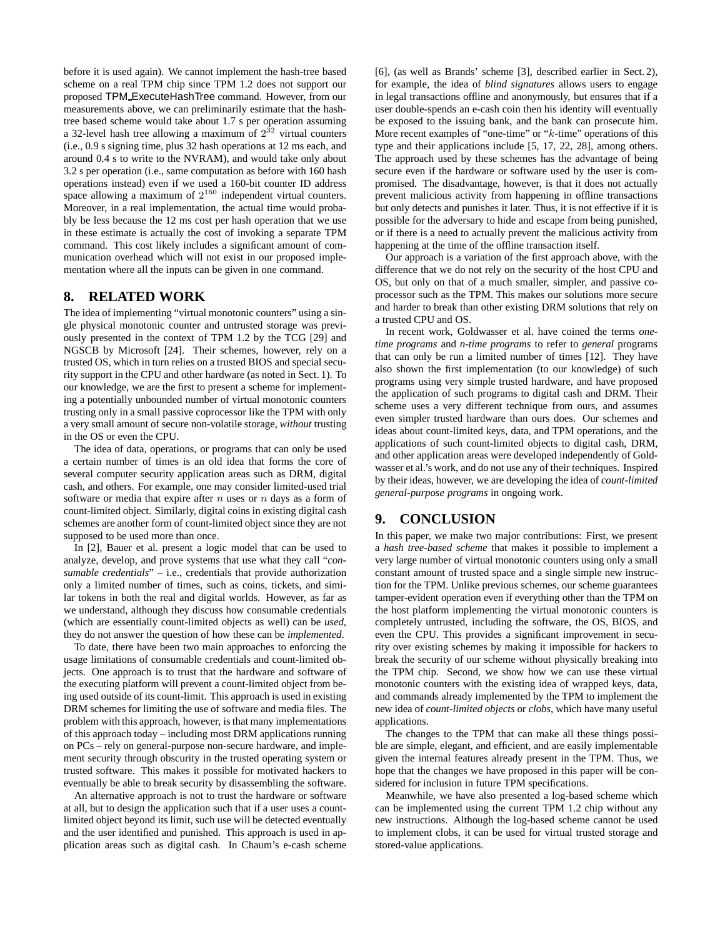before it is used again). We cannot implement the hash-tree based scheme on a real TPM chip since TPM 1.2 does not support our proposed TPM ExecuteHashTree command. However, from our measurements above, we can preliminarily estimate that the hashtree based scheme would take about 1.7 s per operation assuming a 32-level hash tree allowing a maximum of  $2^{32}$  virtual counters (i.e., 0.9 s signing time, plus 32 hash operations at 12 ms each, and around 0.4 s to write to the NVRAM), and would take only about 3.2 s per operation (i.e., same computation as before with 160 hash operations instead) even if we used a 160-bit counter ID address space allowing a maximum of  $2^{160}$  independent virtual counters. Moreover, in a real implementation, the actual time would probably be less because the 12 ms cost per hash operation that we use in these estimate is actually the cost of invoking a separate TPM command. This cost likely includes a significant amount of communication overhead which will not exist in our proposed implementation where all the inputs can be given in one command.

### **8. RELATED WORK**

The idea of implementing "virtual monotonic counters" using a single physical monotonic counter and untrusted storage was previously presented in the context of TPM 1.2 by the TCG [29] and NGSCB by Microsoft [24]. Their schemes, however, rely on a trusted OS, which in turn relies on a trusted BIOS and special security support in the CPU and other hardware (as noted in Sect. 1). To our knowledge, we are the first to present a scheme for implementing a potentially unbounded number of virtual monotonic counters trusting only in a small passive coprocessor like the TPM with only a very small amount of secure non-volatile storage, *without* trusting in the OS or even the CPU.

The idea of data, operations, or programs that can only be used a certain number of times is an old idea that forms the core of several computer security application areas such as DRM, digital cash, and others. For example, one may consider limited-used trial software or media that expire after  $n$  uses or  $n$  days as a form of count-limited object. Similarly, digital coins in existing digital cash schemes are another form of count-limited object since they are not supposed to be used more than once.

In [2], Bauer et al. present a logic model that can be used to analyze, develop, and prove systems that use what they call "*consumable credentials*" – i.e., credentials that provide authorization only a limited number of times, such as coins, tickets, and similar tokens in both the real and digital worlds. However, as far as we understand, although they discuss how consumable credentials (which are essentially count-limited objects as well) can be *used*, they do not answer the question of how these can be *implemented*.

To date, there have been two main approaches to enforcing the usage limitations of consumable credentials and count-limited objects. One approach is to trust that the hardware and software of the executing platform will prevent a count-limited object from being used outside of its count-limit. This approach is used in existing DRM schemes for limiting the use of software and media files. The problem with this approach, however, is that many implementations of this approach today – including most DRM applications running on PCs – rely on general-purpose non-secure hardware, and implement security through obscurity in the trusted operating system or trusted software. This makes it possible for motivated hackers to eventually be able to break security by disassembling the software.

An alternative approach is not to trust the hardware or software at all, but to design the application such that if a user uses a countlimited object beyond its limit, such use will be detected eventually and the user identified and punished. This approach is used in application areas such as digital cash. In Chaum's e-cash scheme [6], (as well as Brands' scheme [3], described earlier in Sect. 2), for example, the idea of *blind signatures* allows users to engage in legal transactions offline and anonymously, but ensures that if a user double-spends an e-cash coin then his identity will eventually be exposed to the issuing bank, and the bank can prosecute him. More recent examples of "one-time" or "k-time" operations of this type and their applications include [5, 17, 22, 28], among others. The approach used by these schemes has the advantage of being secure even if the hardware or software used by the user is compromised. The disadvantage, however, is that it does not actually prevent malicious activity from happening in offline transactions but only detects and punishes it later. Thus, it is not effective if it is possible for the adversary to hide and escape from being punished, or if there is a need to actually prevent the malicious activity from happening at the time of the offline transaction itself.

Our approach is a variation of the first approach above, with the difference that we do not rely on the security of the host CPU and OS, but only on that of a much smaller, simpler, and passive coprocessor such as the TPM. This makes our solutions more secure and harder to break than other existing DRM solutions that rely on a trusted CPU and OS.

In recent work, Goldwasser et al. have coined the terms *onetime programs* and *n-time programs* to refer to *general* programs that can only be run a limited number of times [12]. They have also shown the first implementation (to our knowledge) of such programs using very simple trusted hardware, and have proposed the application of such programs to digital cash and DRM. Their scheme uses a very different technique from ours, and assumes even simpler trusted hardware than ours does. Our schemes and ideas about count-limited keys, data, and TPM operations, and the applications of such count-limited objects to digital cash, DRM, and other application areas were developed independently of Goldwasser et al.'s work, and do not use any of their techniques. Inspired by their ideas, however, we are developing the idea of *count-limited general-purpose programs* in ongoing work.

### **9. CONCLUSION**

In this paper, we make two major contributions: First, we present a *hash tree-based scheme* that makes it possible to implement a very large number of virtual monotonic counters using only a small constant amount of trusted space and a single simple new instruction for the TPM. Unlike previous schemes, our scheme guarantees tamper-evident operation even if everything other than the TPM on the host platform implementing the virtual monotonic counters is completely untrusted, including the software, the OS, BIOS, and even the CPU. This provides a significant improvement in security over existing schemes by making it impossible for hackers to break the security of our scheme without physically breaking into the TPM chip. Second, we show how we can use these virtual monotonic counters with the existing idea of wrapped keys, data, and commands already implemented by the TPM to implement the new idea of *count-limited objects* or *clobs*, which have many useful applications.

The changes to the TPM that can make all these things possible are simple, elegant, and efficient, and are easily implementable given the internal features already present in the TPM. Thus, we hope that the changes we have proposed in this paper will be considered for inclusion in future TPM specifications.

Meanwhile, we have also presented a log-based scheme which can be implemented using the current TPM 1.2 chip without any new instructions. Although the log-based scheme cannot be used to implement clobs, it can be used for virtual trusted storage and stored-value applications.